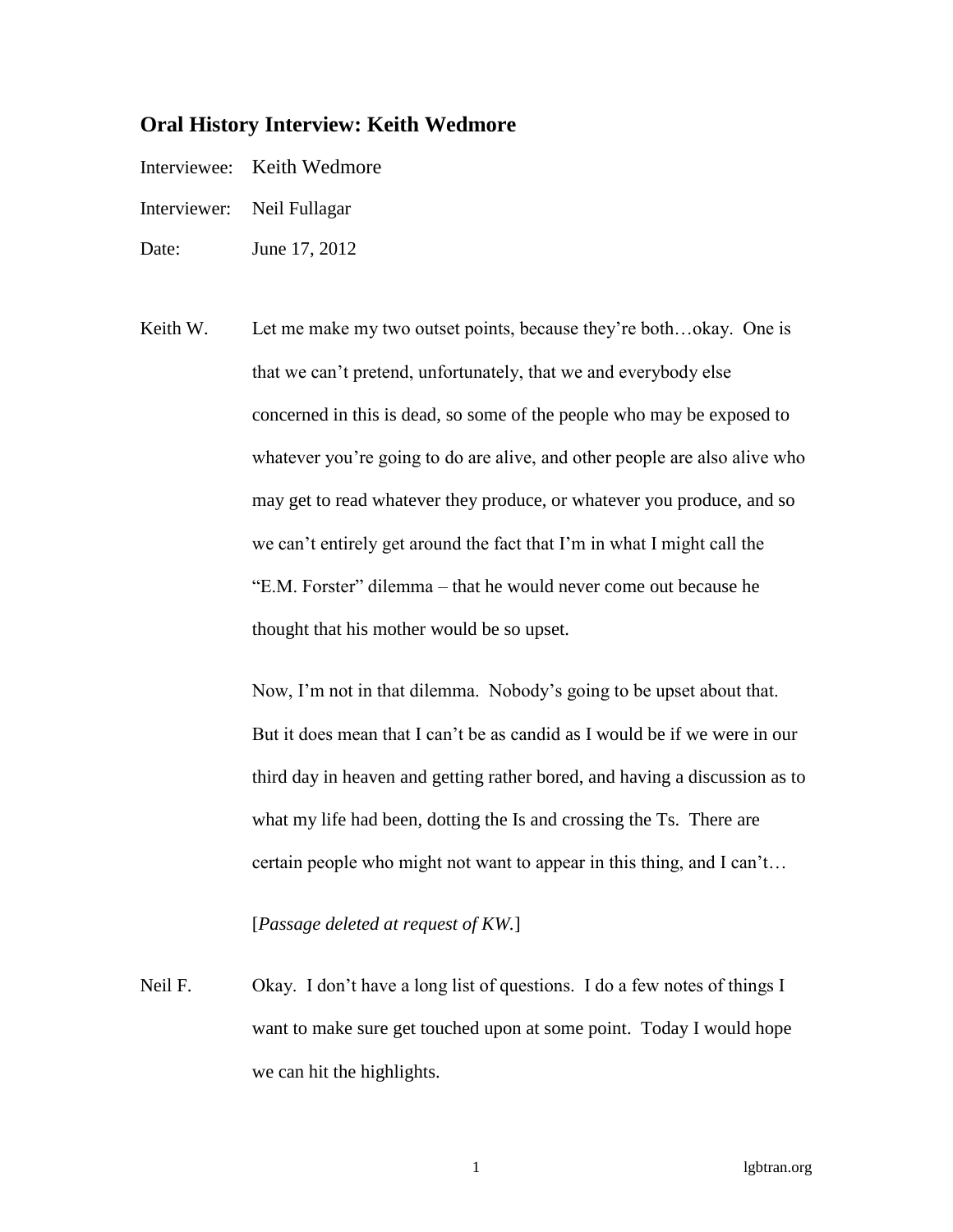# **Oral History Interview: Keith Wedmore**

- Interviewee: Keith Wedmore
- Interviewer: Neil Fullagar
- Date: June 17, 2012
- Keith W. Let me make my two outset points, because they're both...okay. One is that we can't pretend, unfortunately, that we and everybody else concerned in this is dead, so some of the people who may be exposed to whatever you're going to do are alive, and other people are also alive who may get to read whatever they produce, or whatever you produce, and so we can't entirely get around the fact that I'm in what I might call the "E.M. Forster" dilemma – that he would never come out because he thought that his mother would be so upset.

Now, I'm not in that dilemma. Nobody's going to be upset about that. But it does mean that I can't be as candid as I would be if we were in our third day in heaven and getting rather bored, and having a discussion as to what my life had been, dotting the Is and crossing the Ts. There are certain people who might not want to appear in this thing, and I can't…

# [*Passage deleted at request of KW.*]

Neil F. Okay. I don't have a long list of questions. I do a few notes of things I want to make sure get touched upon at some point. Today I would hope we can hit the highlights.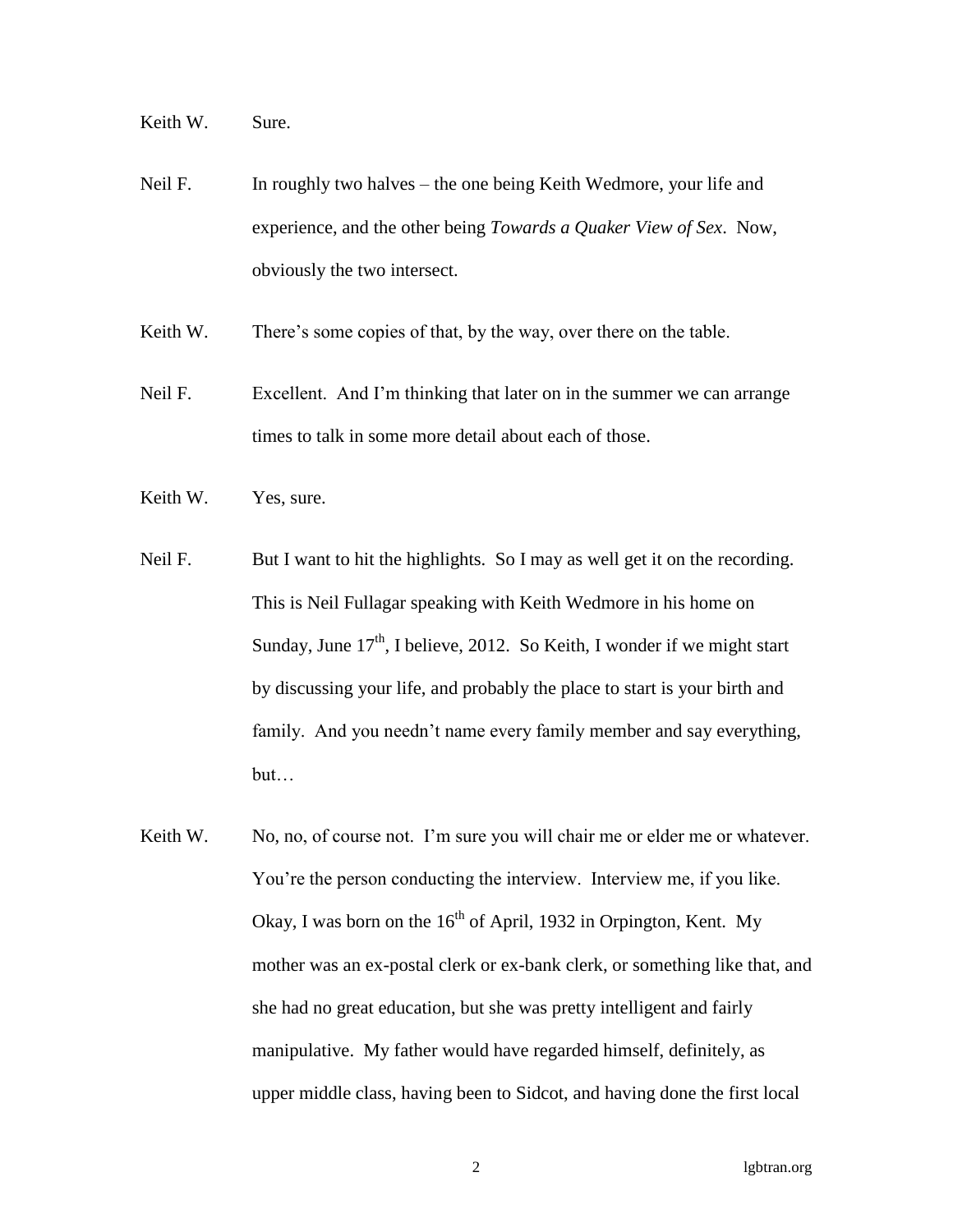Keith W. Sure.

Neil F. In roughly two halves – the one being Keith Wedmore, your life and experience, and the other being *Towards a Quaker View of Sex*. Now, obviously the two intersect.

Keith W. There's some copies of that, by the way, over there on the table.

- Neil F. Excellent. And I'm thinking that later on in the summer we can arrange times to talk in some more detail about each of those.
- Keith W. Yes, sure.
- Neil F. But I want to hit the highlights. So I may as well get it on the recording. This is Neil Fullagar speaking with Keith Wedmore in his home on Sunday, June  $17<sup>th</sup>$ , I believe, 2012. So Keith, I wonder if we might start by discussing your life, and probably the place to start is your birth and family. And you needn't name every family member and say everything, but…
- Keith W. No, no, of course not. I'm sure you will chair me or elder me or whatever. You're the person conducting the interview. Interview me, if you like. Okay, I was born on the  $16<sup>th</sup>$  of April, 1932 in Orpington, Kent. My mother was an ex-postal clerk or ex-bank clerk, or something like that, and she had no great education, but she was pretty intelligent and fairly manipulative. My father would have regarded himself, definitely, as upper middle class, having been to Sidcot, and having done the first local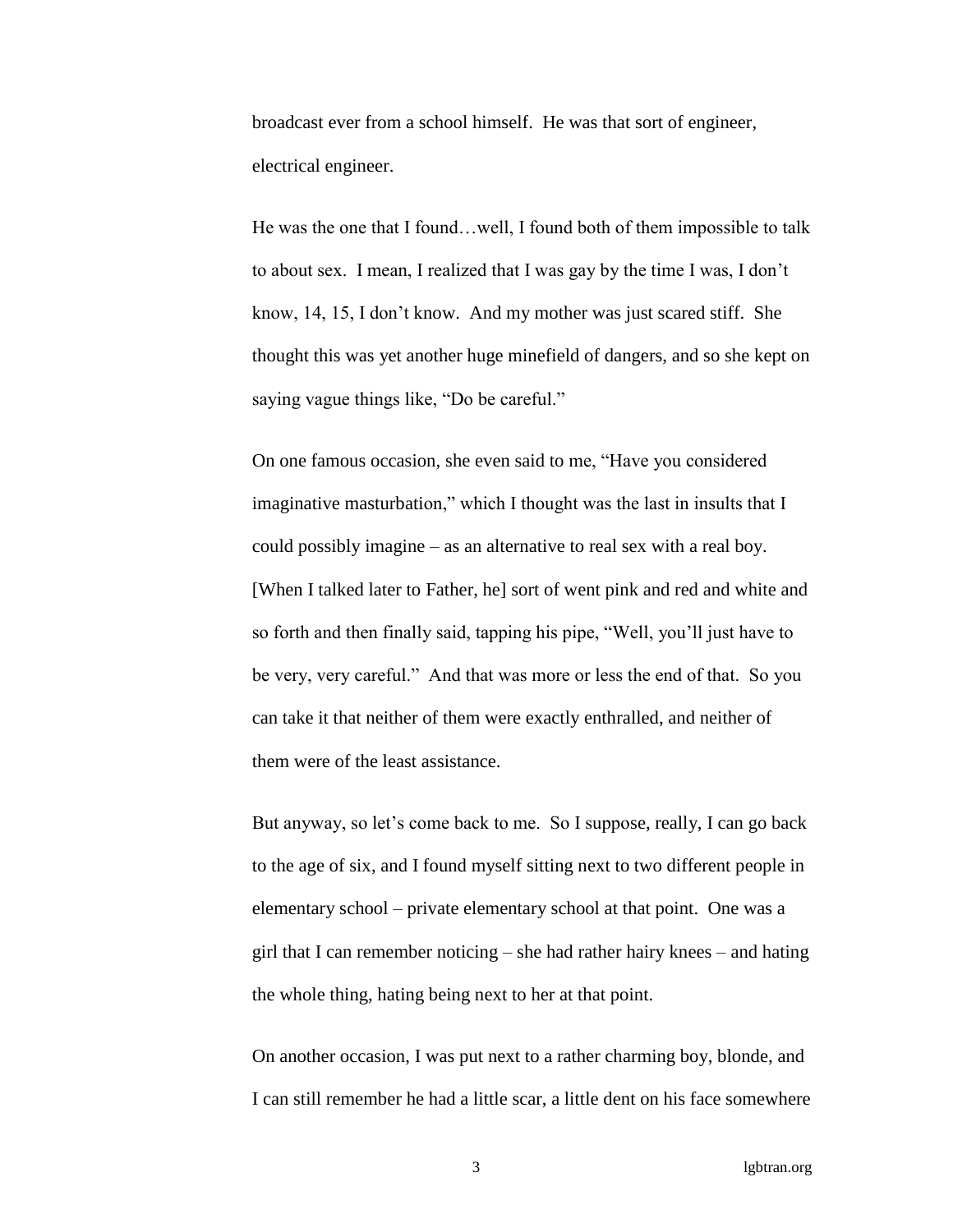broadcast ever from a school himself. He was that sort of engineer, electrical engineer.

He was the one that I found…well, I found both of them impossible to talk to about sex. I mean, I realized that I was gay by the time I was, I don't know, 14, 15, I don't know. And my mother was just scared stiff. She thought this was yet another huge minefield of dangers, and so she kept on saying vague things like, "Do be careful."

On one famous occasion, she even said to me, "Have you considered imaginative masturbation," which I thought was the last in insults that I could possibly imagine – as an alternative to real sex with a real boy. [When I talked later to Father, he] sort of went pink and red and white and so forth and then finally said, tapping his pipe, "Well, you'll just have to be very, very careful." And that was more or less the end of that. So you can take it that neither of them were exactly enthralled, and neither of them were of the least assistance.

But anyway, so let's come back to me. So I suppose, really, I can go back to the age of six, and I found myself sitting next to two different people in elementary school – private elementary school at that point. One was a girl that I can remember noticing – she had rather hairy knees – and hating the whole thing, hating being next to her at that point.

On another occasion, I was put next to a rather charming boy, blonde, and I can still remember he had a little scar, a little dent on his face somewhere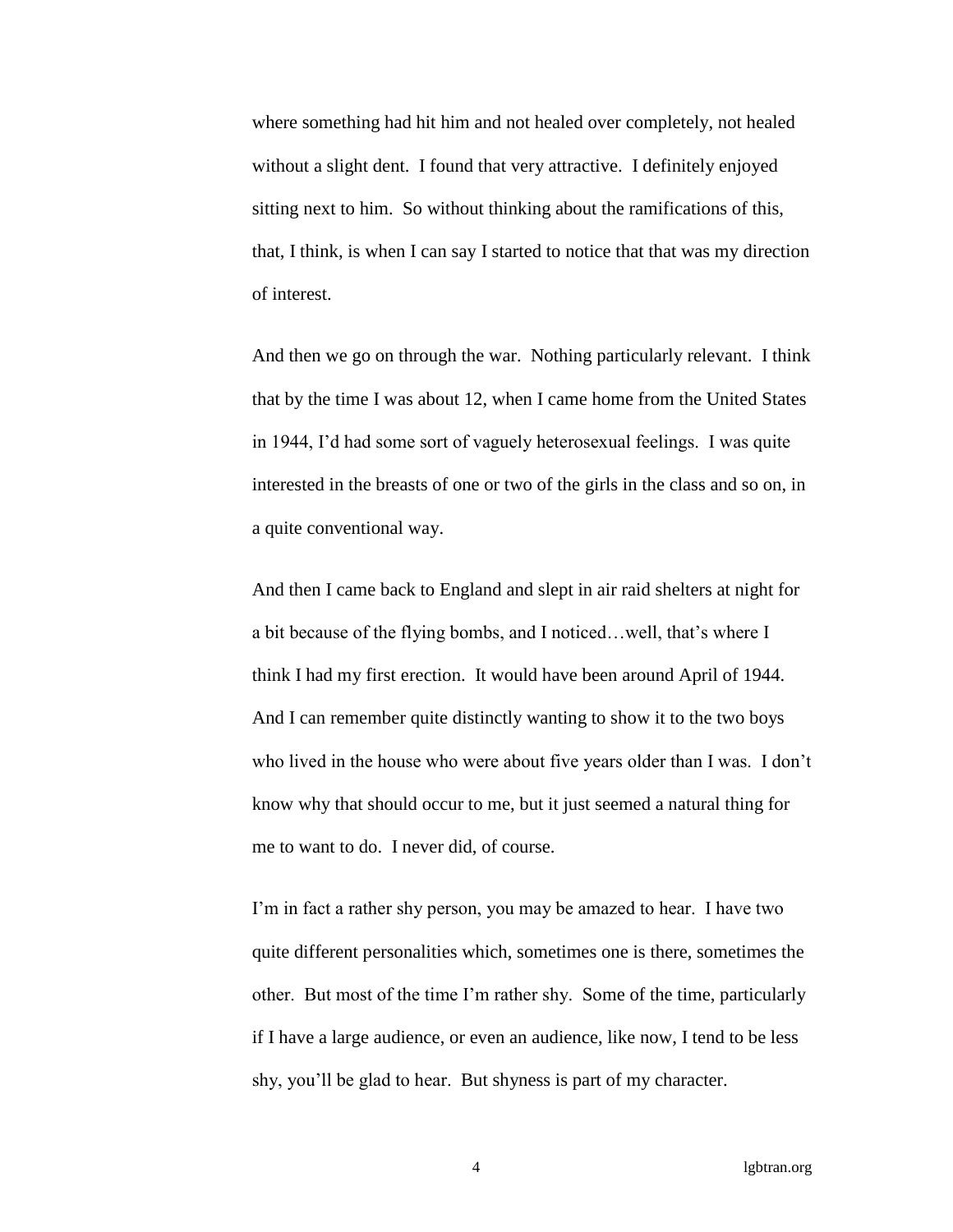where something had hit him and not healed over completely, not healed without a slight dent. I found that very attractive. I definitely enjoyed sitting next to him. So without thinking about the ramifications of this, that, I think, is when I can say I started to notice that that was my direction of interest.

And then we go on through the war. Nothing particularly relevant. I think that by the time I was about 12, when I came home from the United States in 1944, I'd had some sort of vaguely heterosexual feelings. I was quite interested in the breasts of one or two of the girls in the class and so on, in a quite conventional way.

And then I came back to England and slept in air raid shelters at night for a bit because of the flying bombs, and I noticed…well, that's where I think I had my first erection. It would have been around April of 1944. And I can remember quite distinctly wanting to show it to the two boys who lived in the house who were about five years older than I was. I don't know why that should occur to me, but it just seemed a natural thing for me to want to do. I never did, of course.

I'm in fact a rather shy person, you may be amazed to hear. I have two quite different personalities which, sometimes one is there, sometimes the other. But most of the time I'm rather shy. Some of the time, particularly if I have a large audience, or even an audience, like now, I tend to be less shy, you'll be glad to hear. But shyness is part of my character.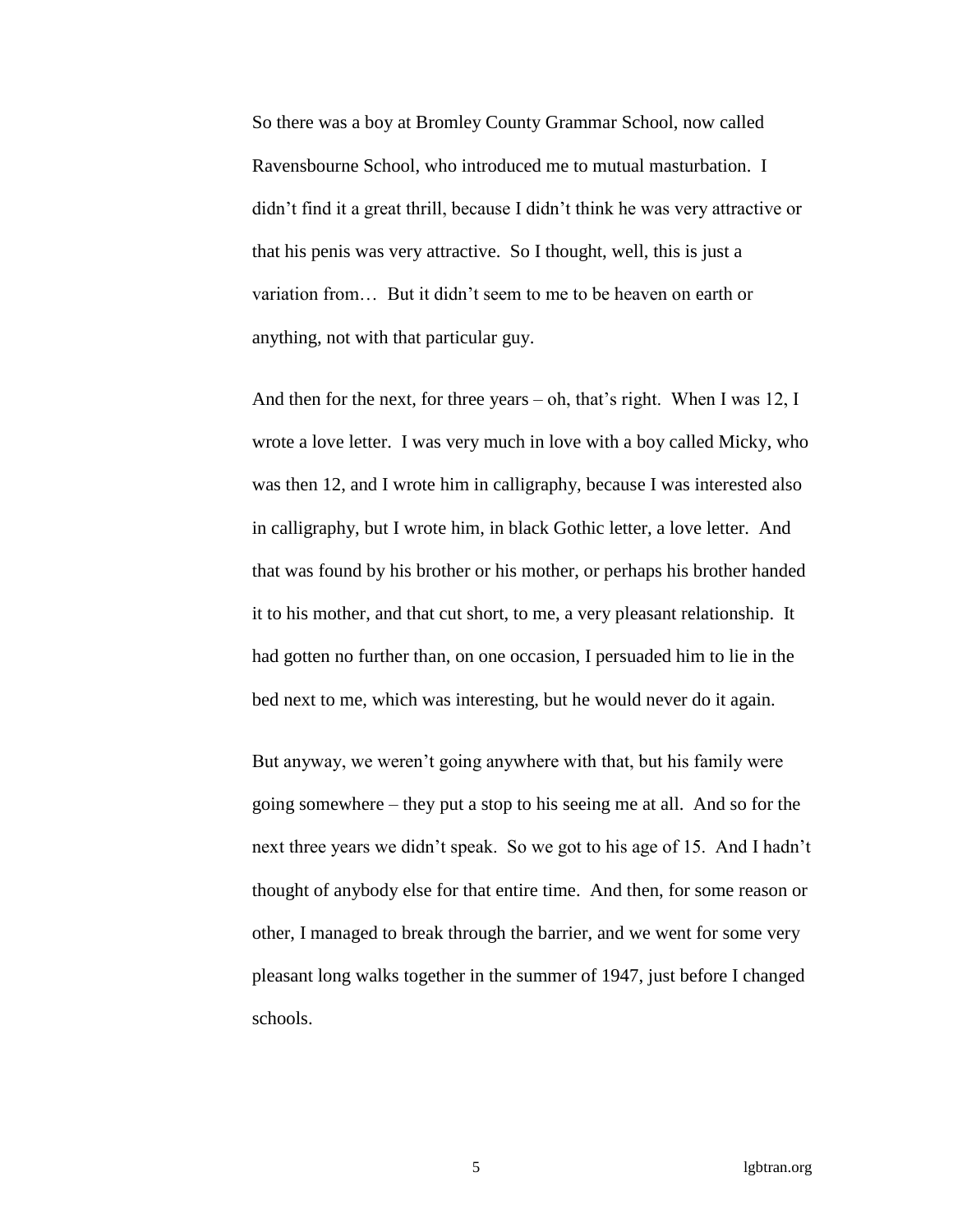So there was a boy at Bromley County Grammar School, now called Ravensbourne School, who introduced me to mutual masturbation. I didn't find it a great thrill, because I didn't think he was very attractive or that his penis was very attractive. So I thought, well, this is just a variation from… But it didn't seem to me to be heaven on earth or anything, not with that particular guy.

And then for the next, for three years – oh, that's right. When I was 12, I wrote a love letter. I was very much in love with a boy called Micky, who was then 12, and I wrote him in calligraphy, because I was interested also in calligraphy, but I wrote him, in black Gothic letter, a love letter. And that was found by his brother or his mother, or perhaps his brother handed it to his mother, and that cut short, to me, a very pleasant relationship. It had gotten no further than, on one occasion, I persuaded him to lie in the bed next to me, which was interesting, but he would never do it again.

But anyway, we weren't going anywhere with that, but his family were going somewhere – they put a stop to his seeing me at all. And so for the next three years we didn't speak. So we got to his age of 15. And I hadn't thought of anybody else for that entire time. And then, for some reason or other, I managed to break through the barrier, and we went for some very pleasant long walks together in the summer of 1947, just before I changed schools.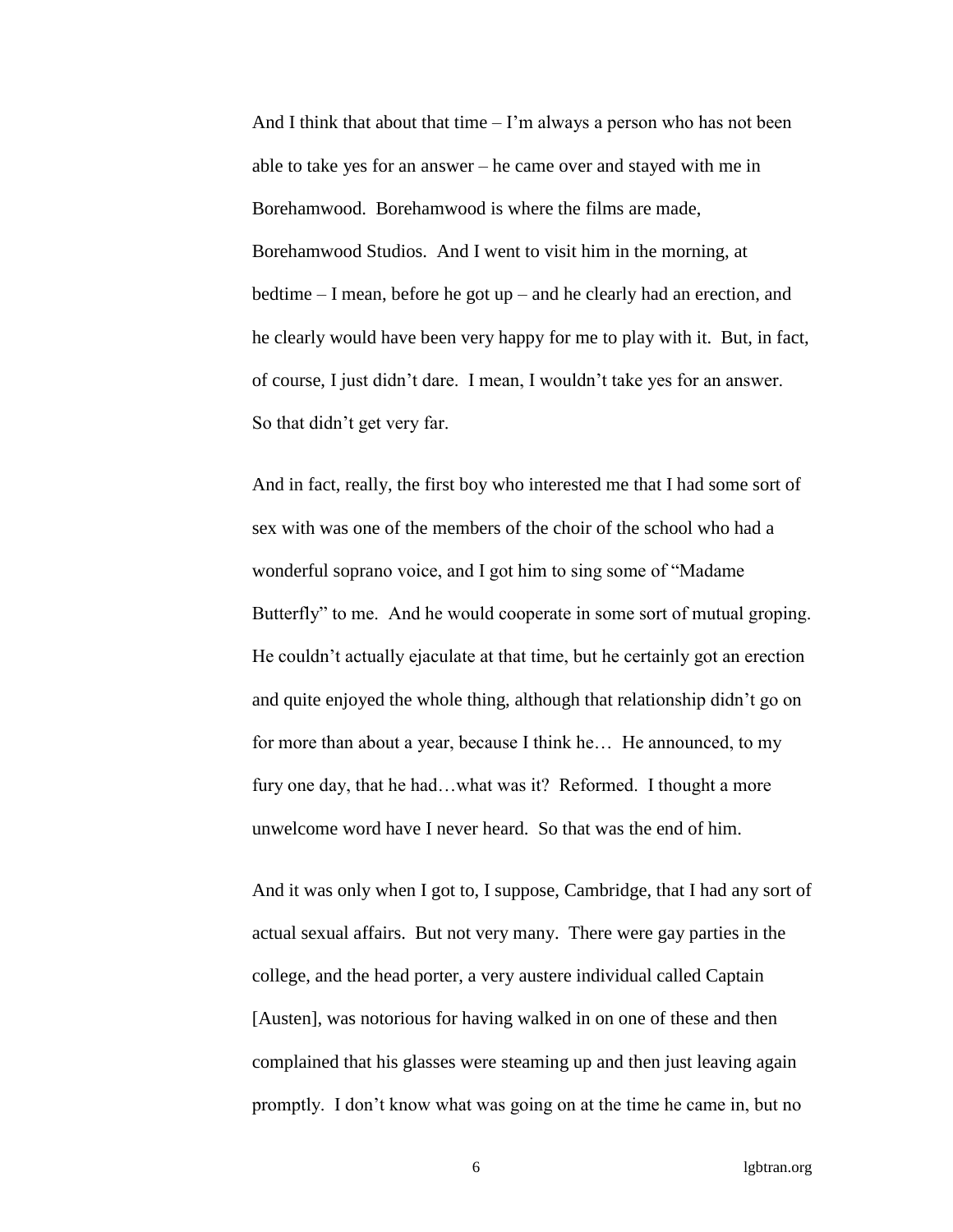And I think that about that time  $-1$ 'm always a person who has not been able to take yes for an answer – he came over and stayed with me in Borehamwood. Borehamwood is where the films are made, Borehamwood Studios. And I went to visit him in the morning, at bedtime – I mean, before he got up – and he clearly had an erection, and he clearly would have been very happy for me to play with it. But, in fact, of course, I just didn't dare. I mean, I wouldn't take yes for an answer. So that didn't get very far.

And in fact, really, the first boy who interested me that I had some sort of sex with was one of the members of the choir of the school who had a wonderful soprano voice, and I got him to sing some of "Madame Butterfly" to me. And he would cooperate in some sort of mutual groping. He couldn't actually ejaculate at that time, but he certainly got an erection and quite enjoyed the whole thing, although that relationship didn't go on for more than about a year, because I think he… He announced, to my fury one day, that he had...what was it? Reformed. I thought a more unwelcome word have I never heard. So that was the end of him.

And it was only when I got to, I suppose, Cambridge, that I had any sort of actual sexual affairs. But not very many. There were gay parties in the college, and the head porter, a very austere individual called Captain [Austen], was notorious for having walked in on one of these and then complained that his glasses were steaming up and then just leaving again promptly. I don't know what was going on at the time he came in, but no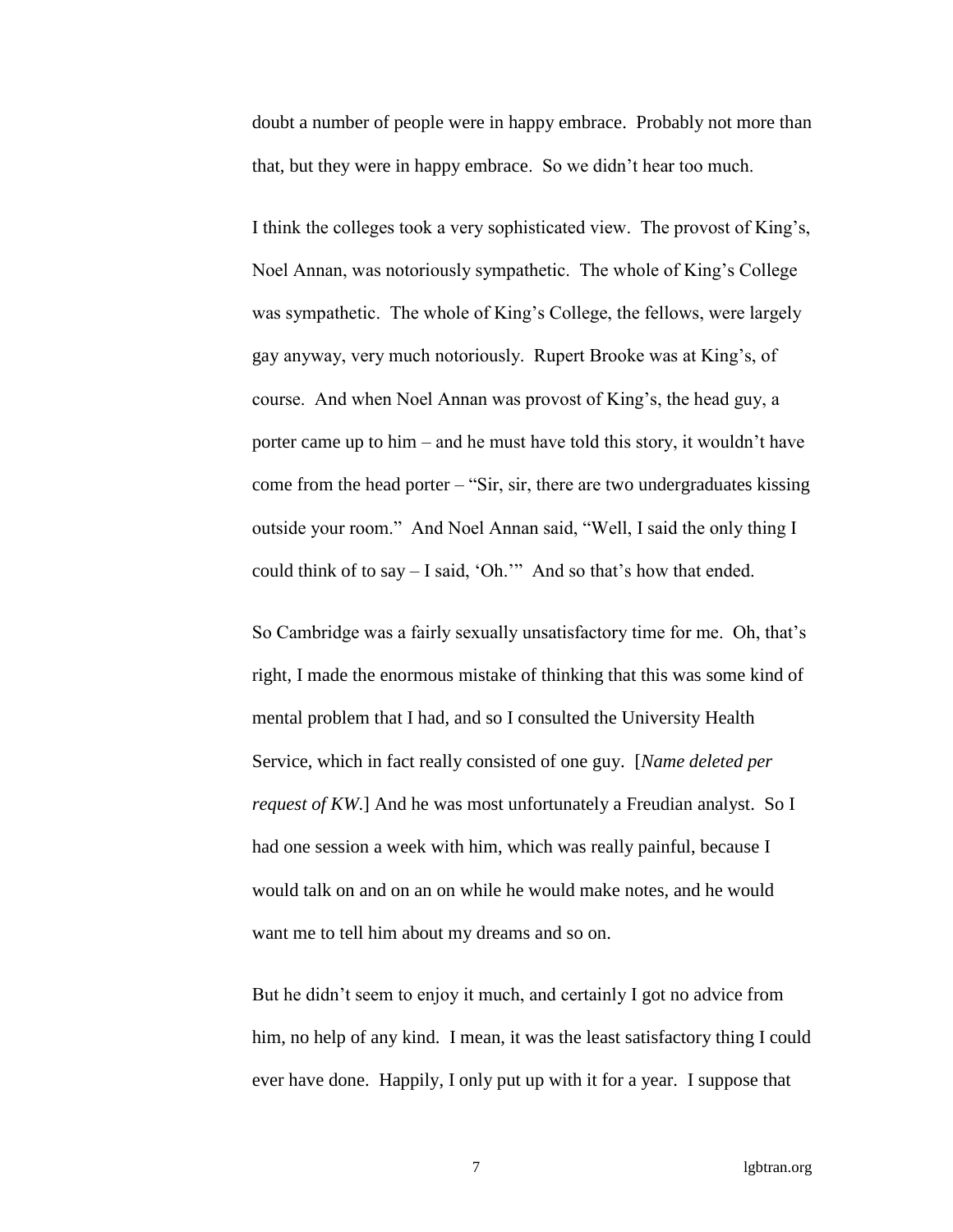doubt a number of people were in happy embrace. Probably not more than that, but they were in happy embrace. So we didn't hear too much.

I think the colleges took a very sophisticated view. The provost of King's, Noel Annan, was notoriously sympathetic. The whole of King's College was sympathetic. The whole of King's College, the fellows, were largely gay anyway, very much notoriously. Rupert Brooke was at King's, of course. And when Noel Annan was provost of King's, the head guy, a porter came up to him – and he must have told this story, it wouldn't have come from the head porter  $-$  "Sir, sir, there are two undergraduates kissing outside your room." And Noel Annan said, "Well, I said the only thing I could think of to say – I said, 'Oh.'" And so that's how that ended.

So Cambridge was a fairly sexually unsatisfactory time for me. Oh, that's right, I made the enormous mistake of thinking that this was some kind of mental problem that I had, and so I consulted the University Health Service, which in fact really consisted of one guy. [*Name deleted per request of KW*.] And he was most unfortunately a Freudian analyst. So I had one session a week with him, which was really painful, because I would talk on and on an on while he would make notes, and he would want me to tell him about my dreams and so on.

But he didn't seem to enjoy it much, and certainly I got no advice from him, no help of any kind. I mean, it was the least satisfactory thing I could ever have done. Happily, I only put up with it for a year. I suppose that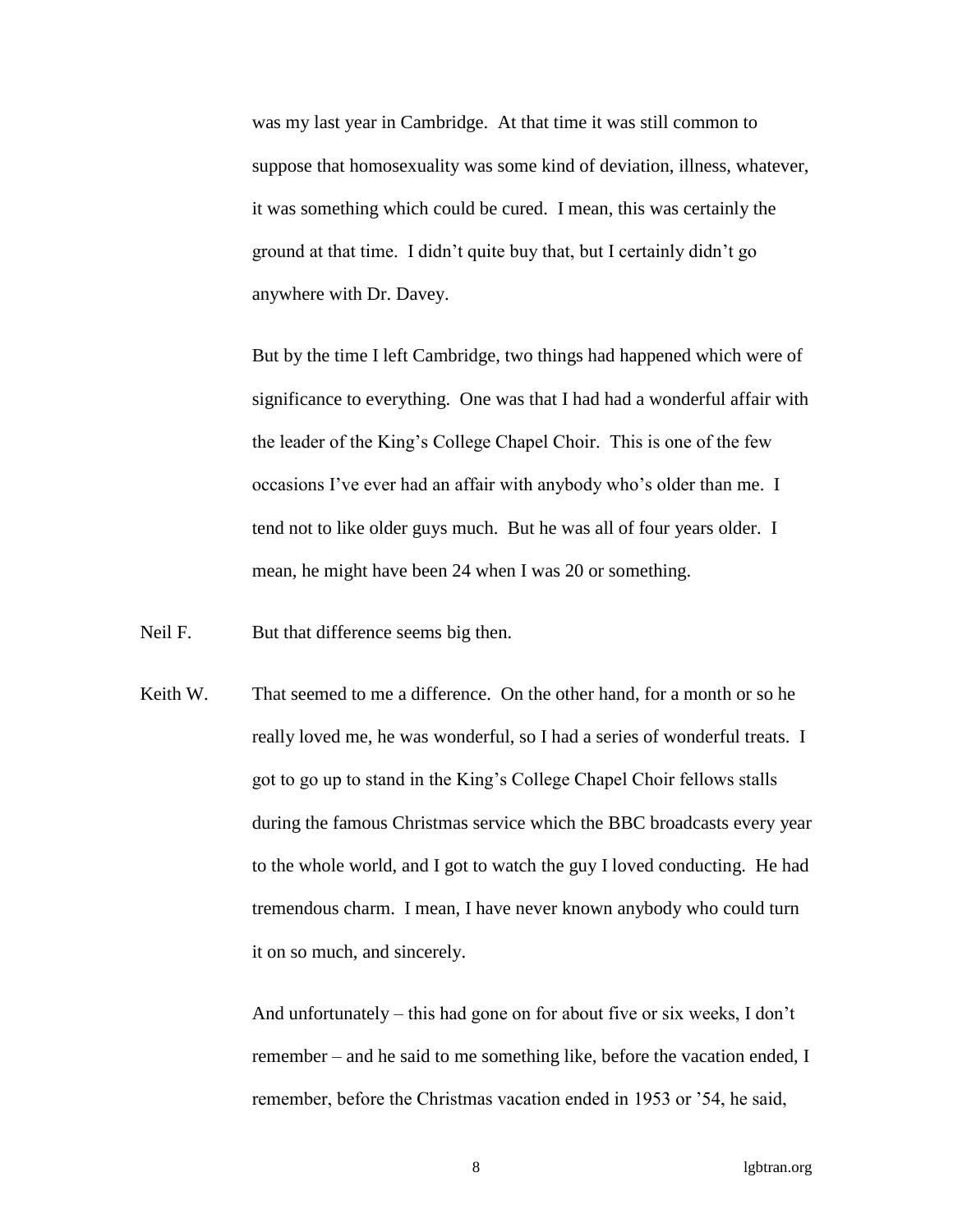was my last year in Cambridge. At that time it was still common to suppose that homosexuality was some kind of deviation, illness, whatever, it was something which could be cured. I mean, this was certainly the ground at that time. I didn't quite buy that, but I certainly didn't go anywhere with Dr. Davey.

But by the time I left Cambridge, two things had happened which were of significance to everything. One was that I had had a wonderful affair with the leader of the King's College Chapel Choir. This is one of the few occasions I've ever had an affair with anybody who's older than me. I tend not to like older guys much. But he was all of four years older. I mean, he might have been 24 when I was 20 or something.

Neil F. But that difference seems big then.

Keith W. That seemed to me a difference. On the other hand, for a month or so he really loved me, he was wonderful, so I had a series of wonderful treats. I got to go up to stand in the King's College Chapel Choir fellows stalls during the famous Christmas service which the BBC broadcasts every year to the whole world, and I got to watch the guy I loved conducting. He had tremendous charm. I mean, I have never known anybody who could turn it on so much, and sincerely.

> And unfortunately – this had gone on for about five or six weeks, I don't remember – and he said to me something like, before the vacation ended, I remember, before the Christmas vacation ended in 1953 or '54, he said,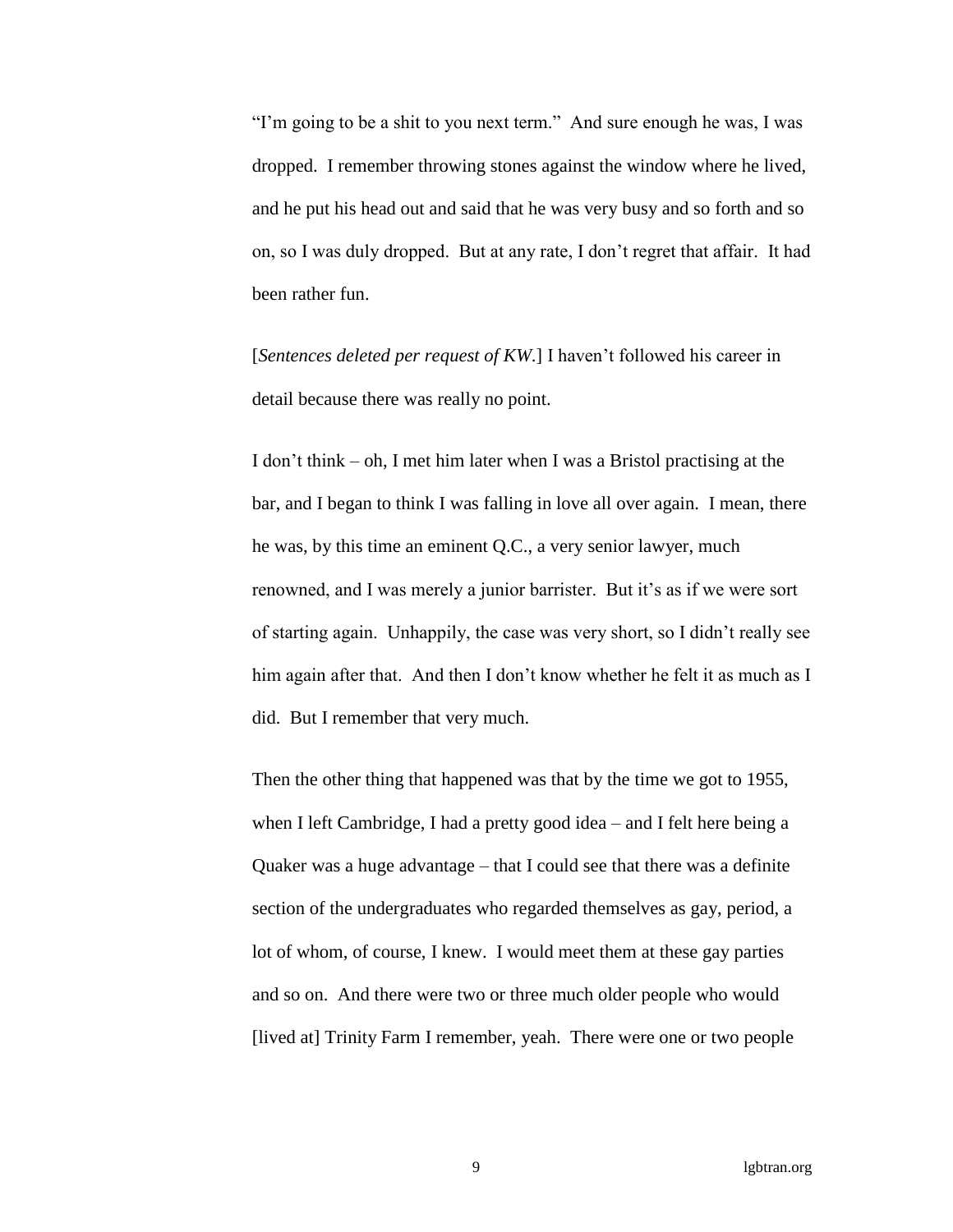"I'm going to be a shit to you next term." And sure enough he was, I was dropped. I remember throwing stones against the window where he lived, and he put his head out and said that he was very busy and so forth and so on, so I was duly dropped. But at any rate, I don't regret that affair. It had been rather fun.

[*Sentences deleted per request of KW*.] I haven't followed his career in detail because there was really no point.

I don't think – oh, I met him later when I was a Bristol practising at the bar, and I began to think I was falling in love all over again. I mean, there he was, by this time an eminent Q.C., a very senior lawyer, much renowned, and I was merely a junior barrister. But it's as if we were sort of starting again. Unhappily, the case was very short, so I didn't really see him again after that. And then I don't know whether he felt it as much as I did. But I remember that very much.

Then the other thing that happened was that by the time we got to 1955, when I left Cambridge, I had a pretty good idea – and I felt here being a Quaker was a huge advantage – that I could see that there was a definite section of the undergraduates who regarded themselves as gay, period, a lot of whom, of course, I knew. I would meet them at these gay parties and so on. And there were two or three much older people who would [lived at] Trinity Farm I remember, yeah. There were one or two people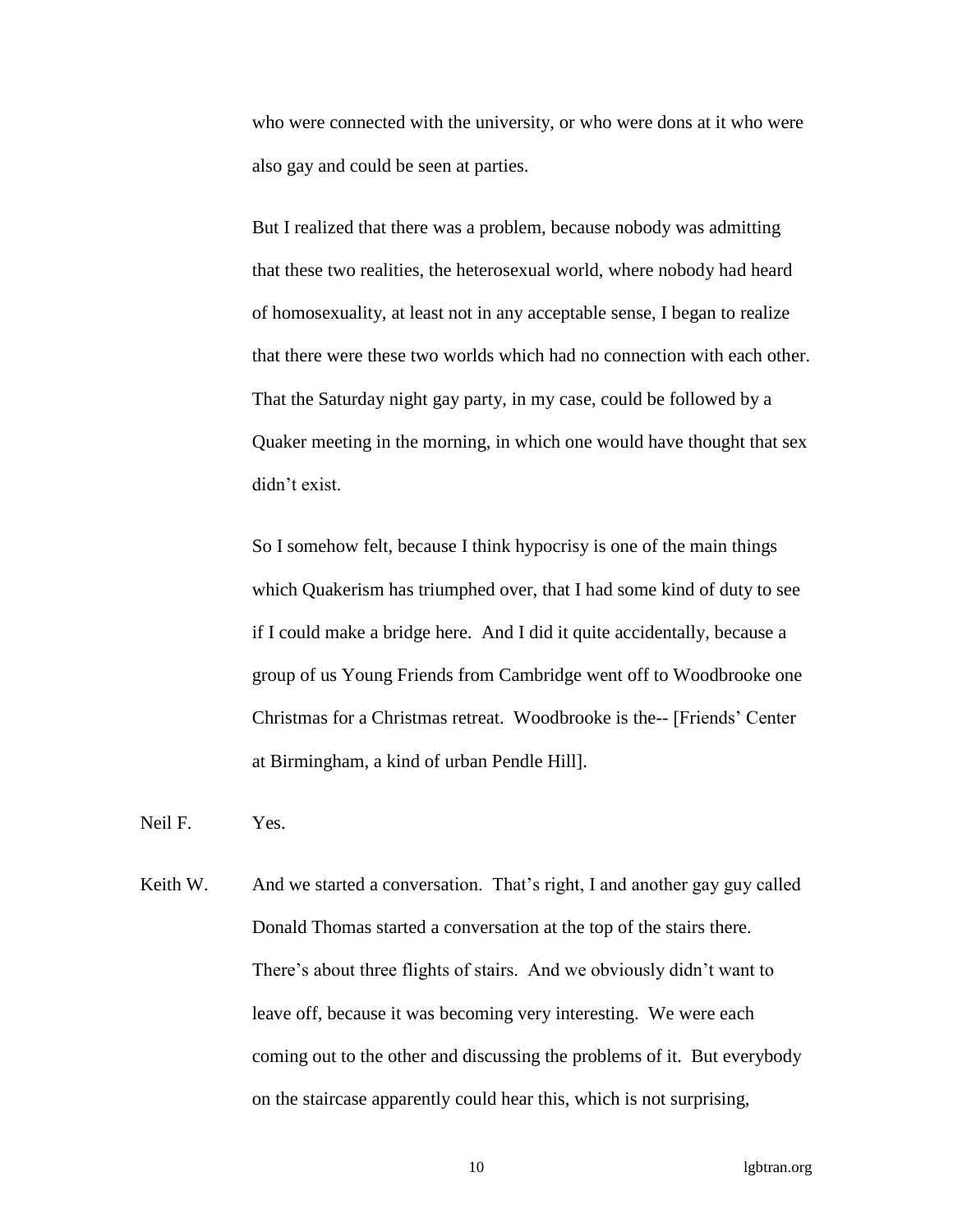who were connected with the university, or who were dons at it who were also gay and could be seen at parties.

But I realized that there was a problem, because nobody was admitting that these two realities, the heterosexual world, where nobody had heard of homosexuality, at least not in any acceptable sense, I began to realize that there were these two worlds which had no connection with each other. That the Saturday night gay party, in my case, could be followed by a Quaker meeting in the morning, in which one would have thought that sex didn't exist.

So I somehow felt, because I think hypocrisy is one of the main things which Quakerism has triumphed over, that I had some kind of duty to see if I could make a bridge here. And I did it quite accidentally, because a group of us Young Friends from Cambridge went off to Woodbrooke one Christmas for a Christmas retreat. Woodbrooke is the-- [Friends' Center at Birmingham, a kind of urban Pendle Hill].

Neil F. Yes.

Keith W. And we started a conversation. That's right, I and another gay guy called Donald Thomas started a conversation at the top of the stairs there. There's about three flights of stairs. And we obviously didn't want to leave off, because it was becoming very interesting. We were each coming out to the other and discussing the problems of it. But everybody on the staircase apparently could hear this, which is not surprising,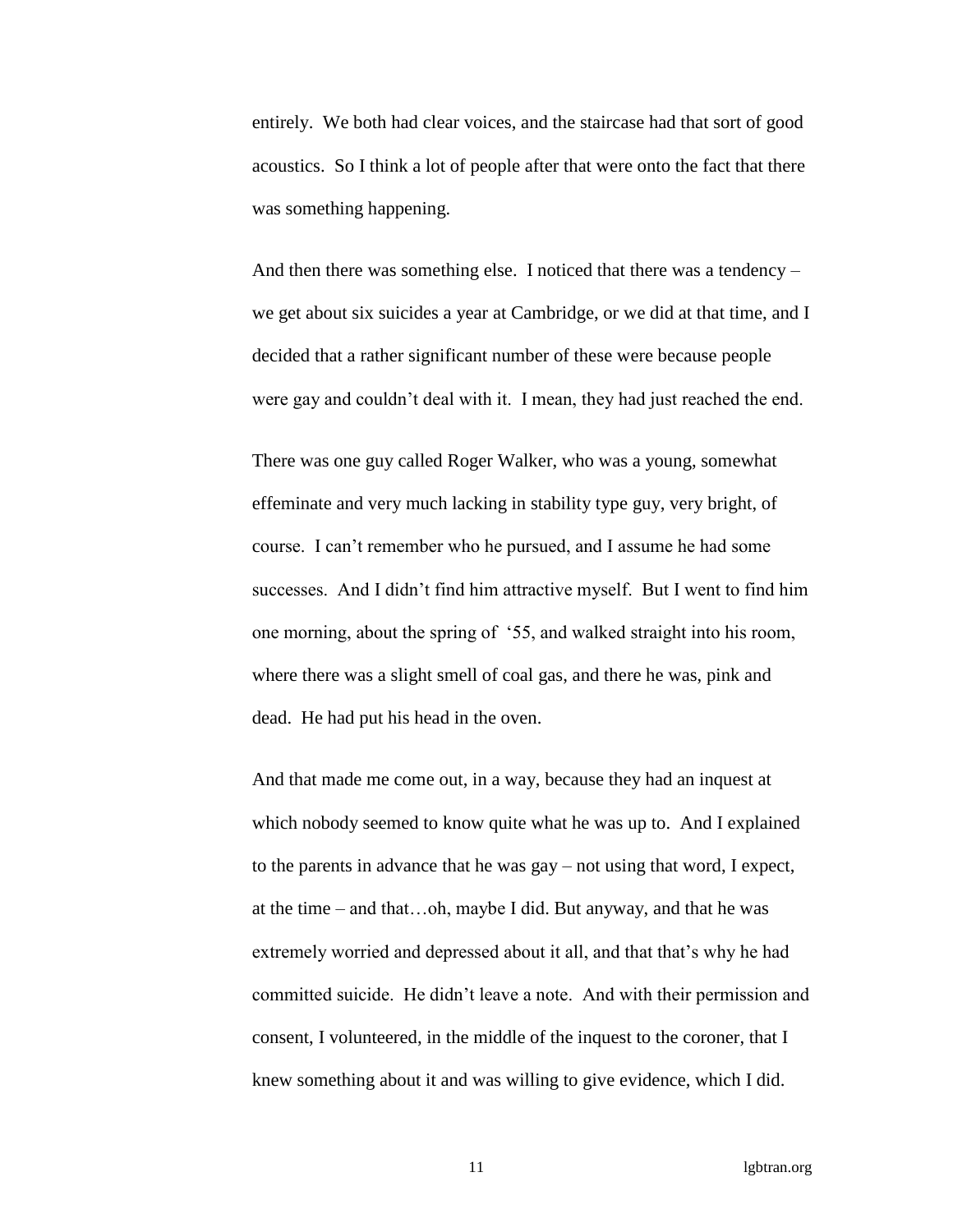entirely. We both had clear voices, and the staircase had that sort of good acoustics. So I think a lot of people after that were onto the fact that there was something happening.

And then there was something else. I noticed that there was a tendency – we get about six suicides a year at Cambridge, or we did at that time, and I decided that a rather significant number of these were because people were gay and couldn't deal with it. I mean, they had just reached the end.

There was one guy called Roger Walker, who was a young, somewhat effeminate and very much lacking in stability type guy, very bright, of course. I can't remember who he pursued, and I assume he had some successes. And I didn't find him attractive myself. But I went to find him one morning, about the spring of '55, and walked straight into his room, where there was a slight smell of coal gas, and there he was, pink and dead. He had put his head in the oven.

And that made me come out, in a way, because they had an inquest at which nobody seemed to know quite what he was up to. And I explained to the parents in advance that he was gay – not using that word, I expect, at the time – and that…oh, maybe I did. But anyway, and that he was extremely worried and depressed about it all, and that that's why he had committed suicide. He didn't leave a note. And with their permission and consent, I volunteered, in the middle of the inquest to the coroner, that I knew something about it and was willing to give evidence, which I did.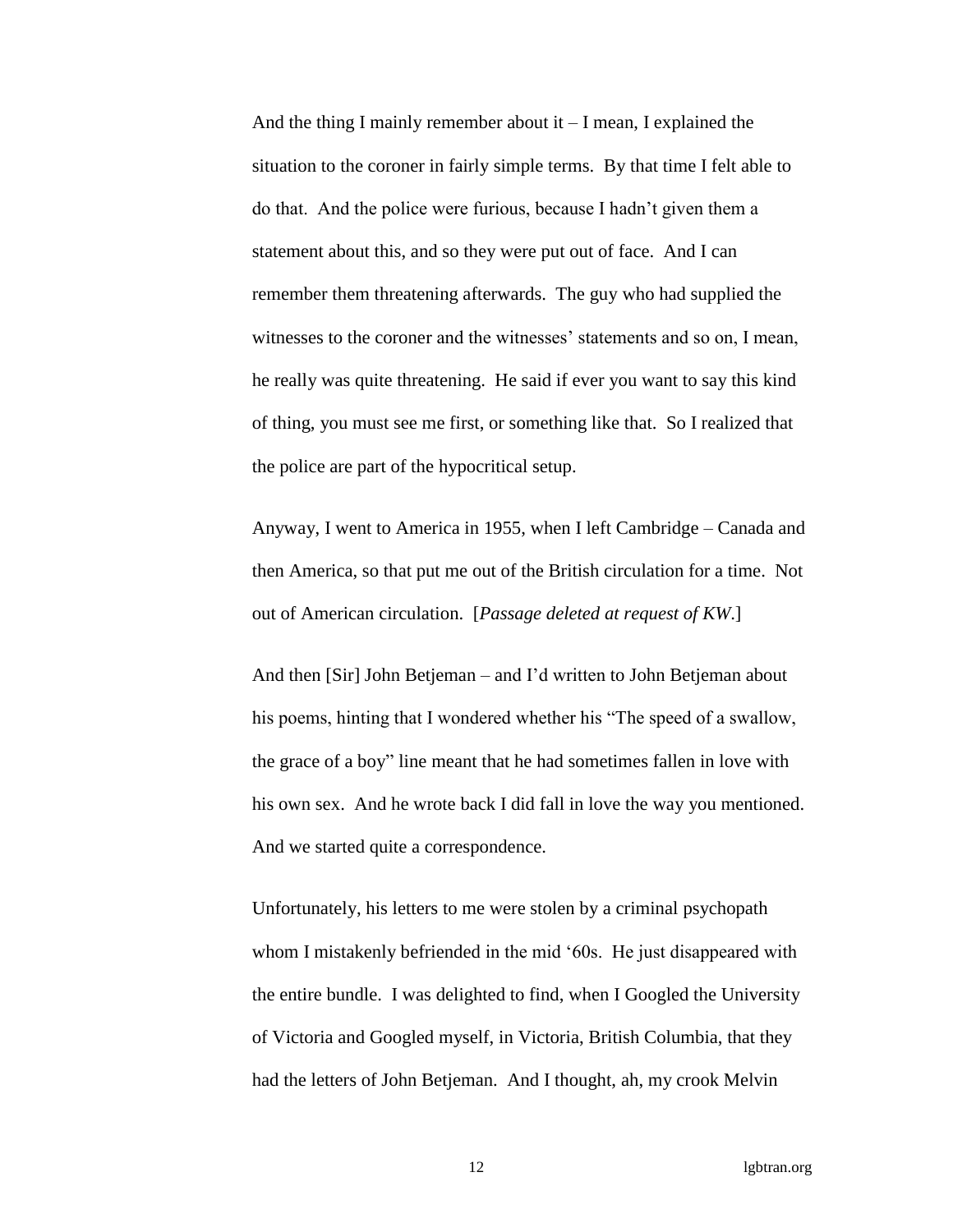And the thing I mainly remember about it  $-I$  mean, I explained the situation to the coroner in fairly simple terms. By that time I felt able to do that. And the police were furious, because I hadn't given them a statement about this, and so they were put out of face. And I can remember them threatening afterwards. The guy who had supplied the witnesses to the coroner and the witnesses' statements and so on, I mean, he really was quite threatening. He said if ever you want to say this kind of thing, you must see me first, or something like that. So I realized that the police are part of the hypocritical setup.

Anyway, I went to America in 1955, when I left Cambridge – Canada and then America, so that put me out of the British circulation for a time. Not out of American circulation. [*Passage deleted at request of KW*.]

And then [Sir] John Betjeman – and I'd written to John Betjeman about his poems, hinting that I wondered whether his "The speed of a swallow, the grace of a boy" line meant that he had sometimes fallen in love with his own sex. And he wrote back I did fall in love the way you mentioned. And we started quite a correspondence.

Unfortunately, his letters to me were stolen by a criminal psychopath whom I mistakenly befriended in the mid '60s. He just disappeared with the entire bundle. I was delighted to find, when I Googled the University of Victoria and Googled myself, in Victoria, British Columbia, that they had the letters of John Betjeman. And I thought, ah, my crook Melvin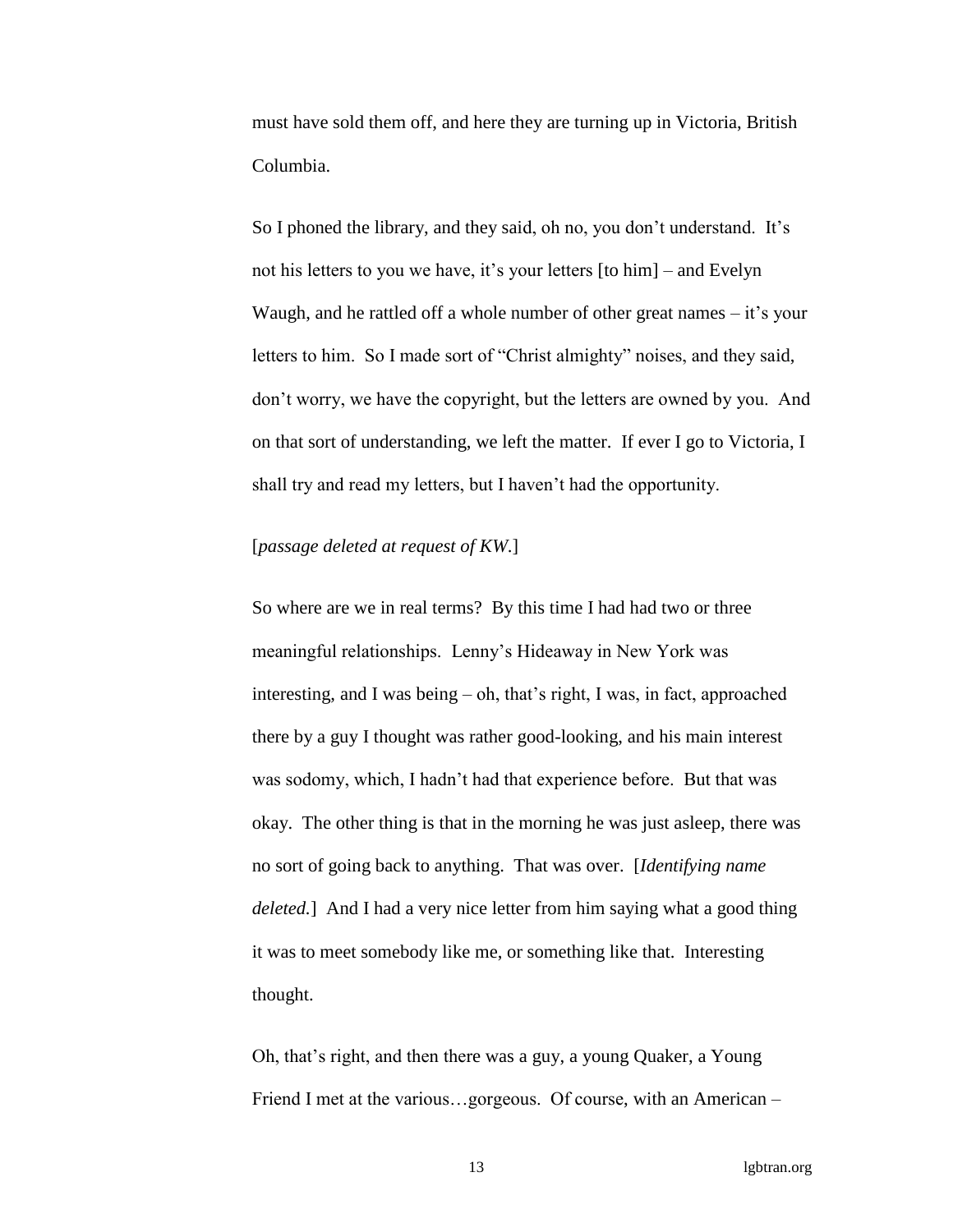must have sold them off, and here they are turning up in Victoria, British Columbia.

So I phoned the library, and they said, oh no, you don't understand. It's not his letters to you we have, it's your letters [to him] – and Evelyn Waugh, and he rattled off a whole number of other great names – it's your letters to him. So I made sort of "Christ almighty" noises, and they said, don't worry, we have the copyright, but the letters are owned by you. And on that sort of understanding, we left the matter. If ever I go to Victoria, I shall try and read my letters, but I haven't had the opportunity.

## [*passage deleted at request of KW*.]

So where are we in real terms? By this time I had had two or three meaningful relationships. Lenny's Hideaway in New York was interesting, and I was being – oh, that's right, I was, in fact, approached there by a guy I thought was rather good-looking, and his main interest was sodomy, which, I hadn't had that experience before. But that was okay. The other thing is that in the morning he was just asleep, there was no sort of going back to anything. That was over. [*Identifying name deleted.*] And I had a very nice letter from him saying what a good thing it was to meet somebody like me, or something like that. Interesting thought.

Oh, that's right, and then there was a guy, a young Quaker, a Young Friend I met at the various…gorgeous. Of course, with an American –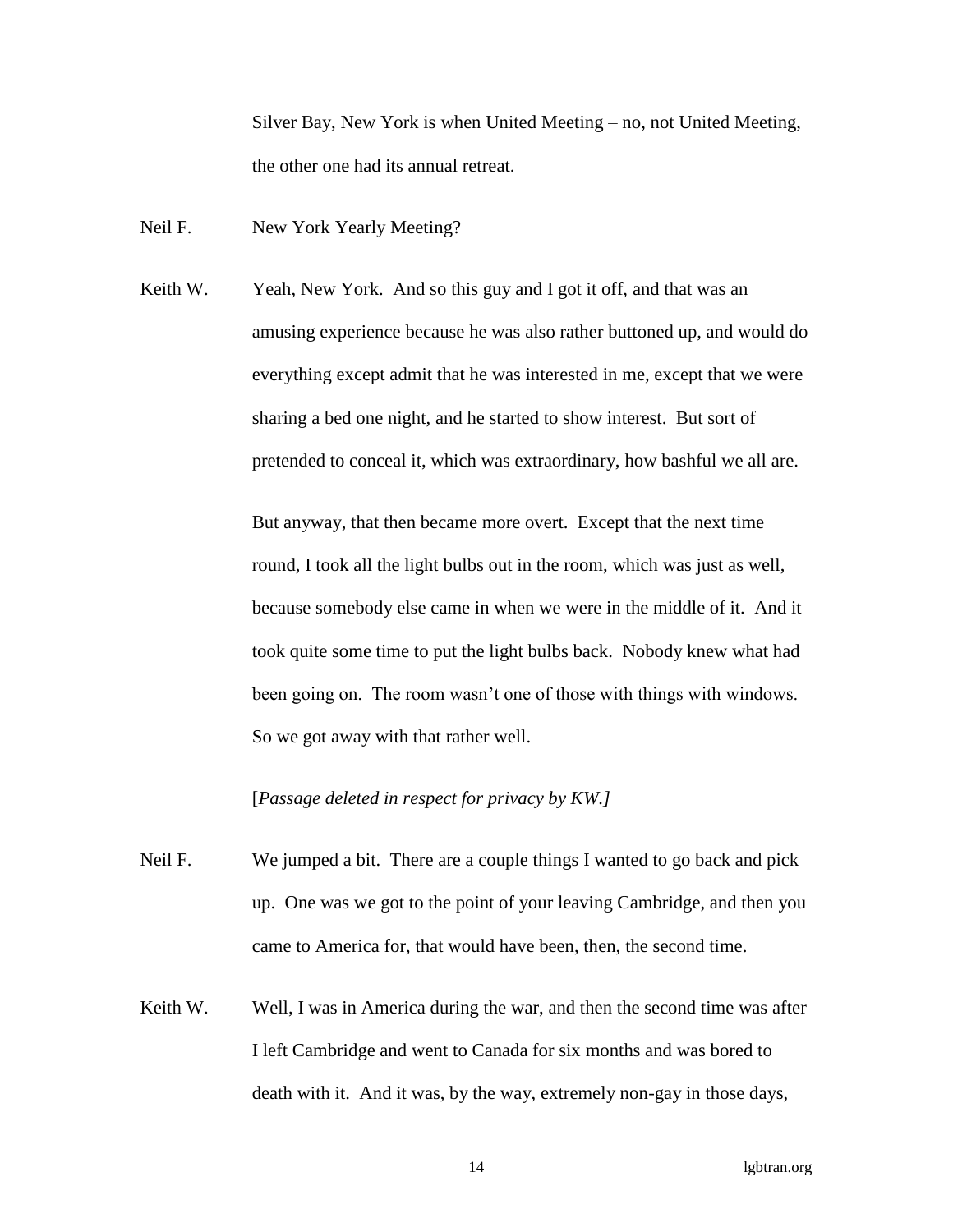Silver Bay, New York is when United Meeting – no, not United Meeting, the other one had its annual retreat.

Neil F. New York Yearly Meeting?

Keith W. Yeah, New York. And so this guy and I got it off, and that was an amusing experience because he was also rather buttoned up, and would do everything except admit that he was interested in me, except that we were sharing a bed one night, and he started to show interest. But sort of pretended to conceal it, which was extraordinary, how bashful we all are.

> But anyway, that then became more overt. Except that the next time round, I took all the light bulbs out in the room, which was just as well, because somebody else came in when we were in the middle of it. And it took quite some time to put the light bulbs back. Nobody knew what had been going on. The room wasn't one of those with things with windows. So we got away with that rather well.

[*Passage deleted in respect for privacy by KW.]*

- Neil F. We jumped a bit. There are a couple things I wanted to go back and pick up. One was we got to the point of your leaving Cambridge, and then you came to America for, that would have been, then, the second time.
- Keith W. Well, I was in America during the war, and then the second time was after I left Cambridge and went to Canada for six months and was bored to death with it. And it was, by the way, extremely non-gay in those days,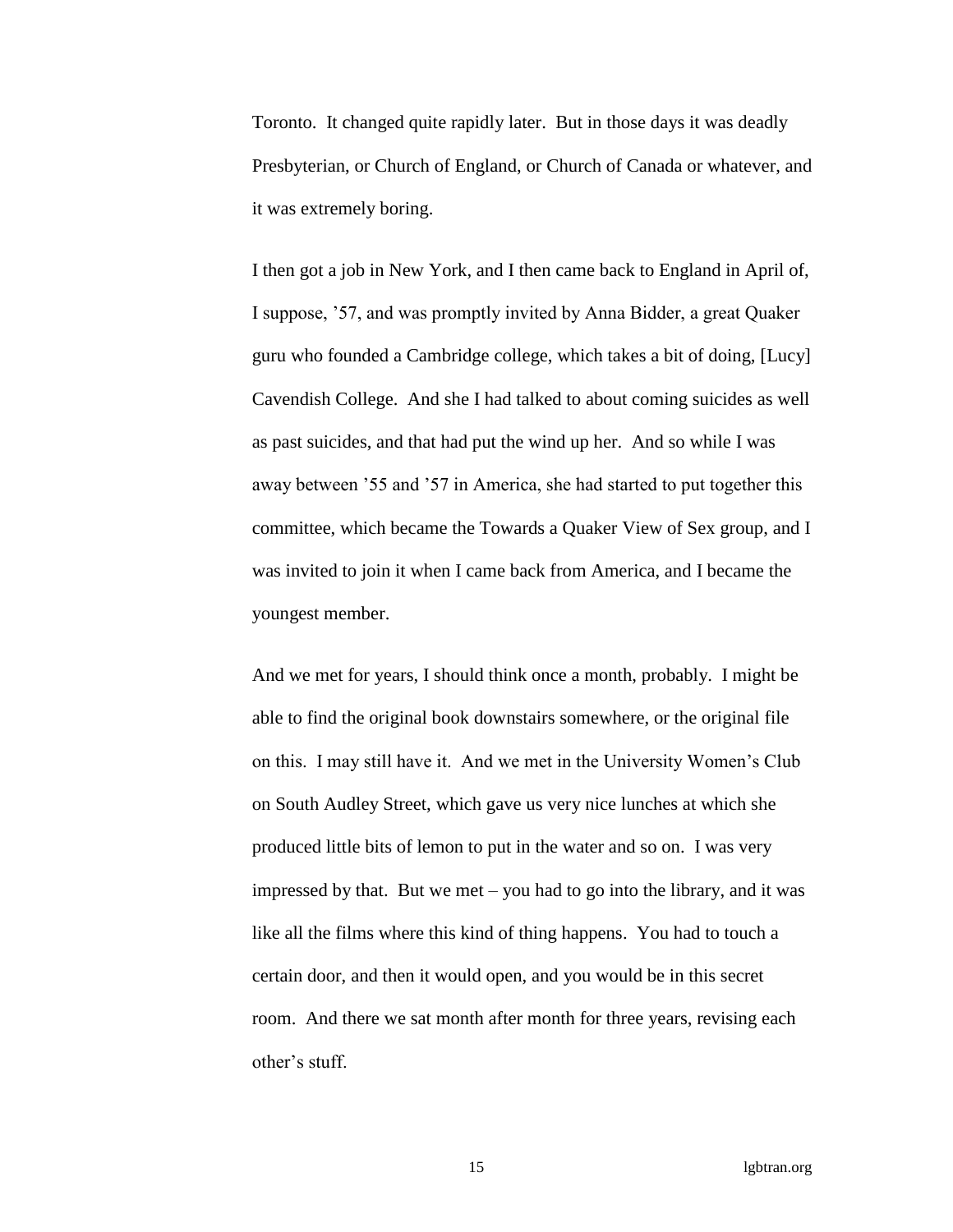Toronto. It changed quite rapidly later. But in those days it was deadly Presbyterian, or Church of England, or Church of Canada or whatever, and it was extremely boring.

I then got a job in New York, and I then came back to England in April of, I suppose, '57, and was promptly invited by Anna Bidder, a great Quaker guru who founded a Cambridge college, which takes a bit of doing, [Lucy] Cavendish College. And she I had talked to about coming suicides as well as past suicides, and that had put the wind up her. And so while I was away between '55 and '57 in America, she had started to put together this committee, which became the Towards a Quaker View of Sex group, and I was invited to join it when I came back from America, and I became the youngest member.

And we met for years, I should think once a month, probably. I might be able to find the original book downstairs somewhere, or the original file on this. I may still have it. And we met in the University Women's Club on South Audley Street, which gave us very nice lunches at which she produced little bits of lemon to put in the water and so on. I was very impressed by that. But we met – you had to go into the library, and it was like all the films where this kind of thing happens. You had to touch a certain door, and then it would open, and you would be in this secret room. And there we sat month after month for three years, revising each other's stuff.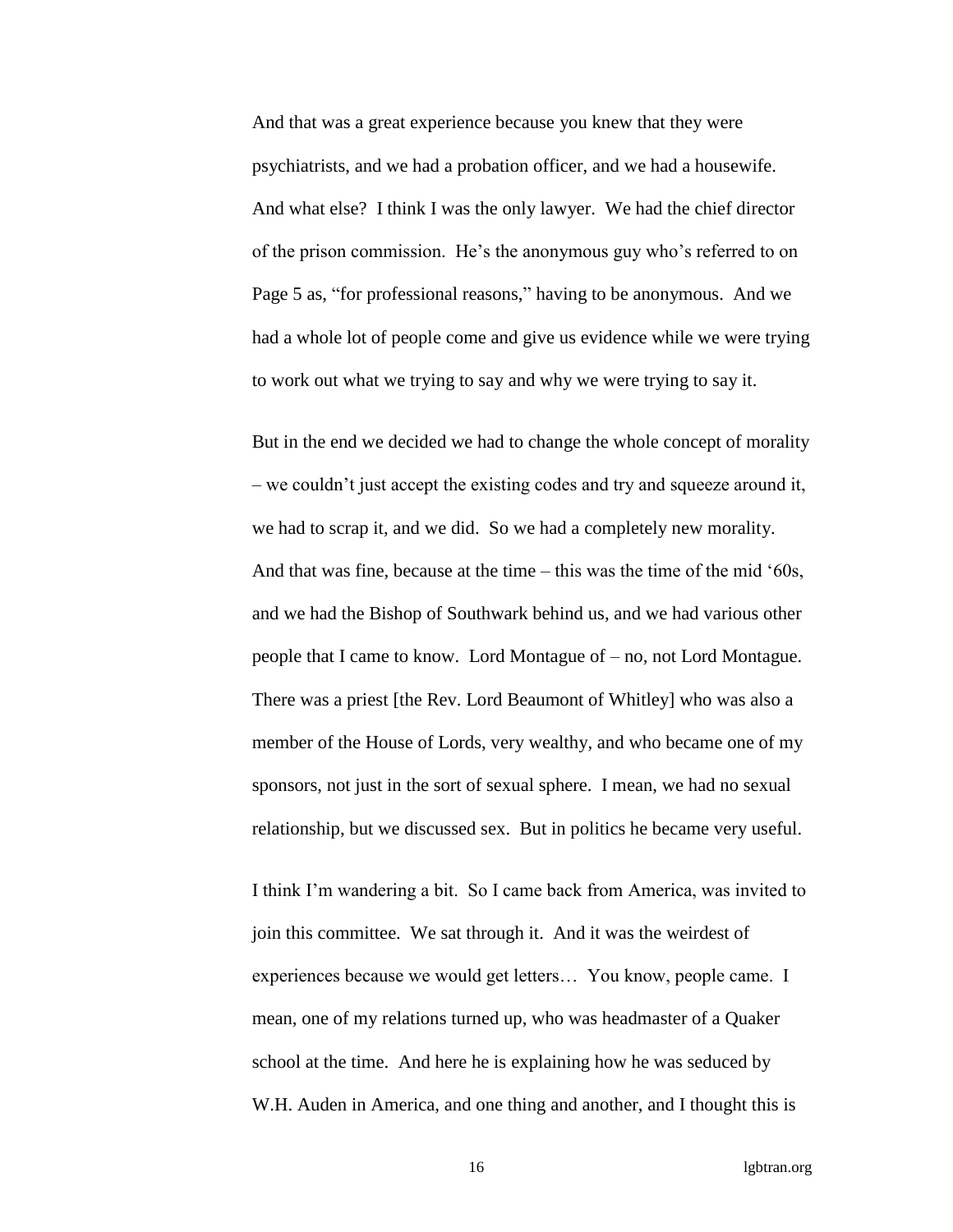And that was a great experience because you knew that they were psychiatrists, and we had a probation officer, and we had a housewife. And what else? I think I was the only lawyer. We had the chief director of the prison commission. He's the anonymous guy who's referred to on Page 5 as, "for professional reasons," having to be anonymous. And we had a whole lot of people come and give us evidence while we were trying to work out what we trying to say and why we were trying to say it.

But in the end we decided we had to change the whole concept of morality – we couldn't just accept the existing codes and try and squeeze around it, we had to scrap it, and we did. So we had a completely new morality. And that was fine, because at the time – this was the time of the mid '60s, and we had the Bishop of Southwark behind us, and we had various other people that I came to know. Lord Montague of – no, not Lord Montague. There was a priest [the Rev. Lord Beaumont of Whitley] who was also a member of the House of Lords, very wealthy, and who became one of my sponsors, not just in the sort of sexual sphere. I mean, we had no sexual relationship, but we discussed sex. But in politics he became very useful.

I think I'm wandering a bit. So I came back from America, was invited to join this committee. We sat through it. And it was the weirdest of experiences because we would get letters… You know, people came. I mean, one of my relations turned up, who was headmaster of a Quaker school at the time. And here he is explaining how he was seduced by W.H. Auden in America, and one thing and another, and I thought this is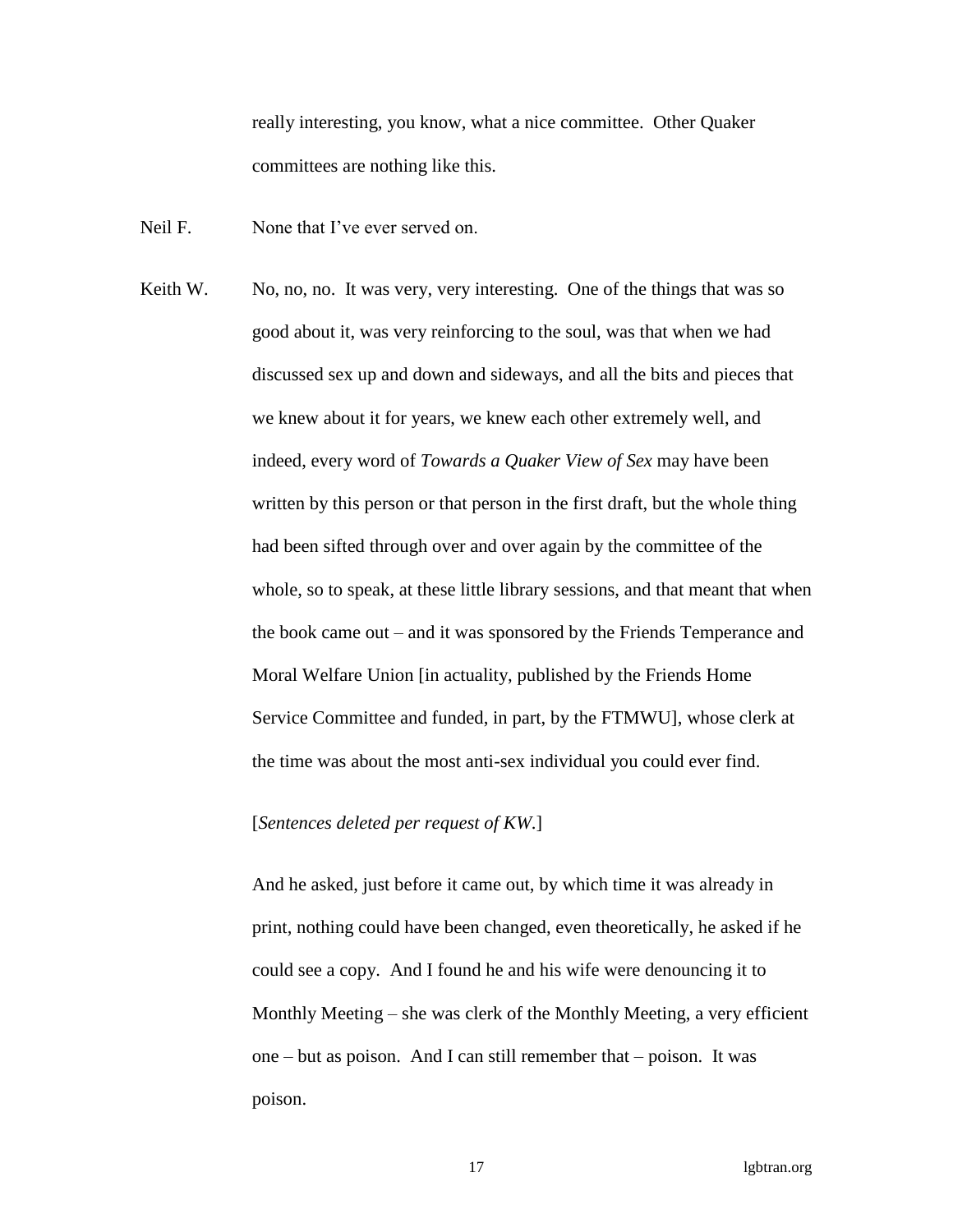really interesting, you know, what a nice committee. Other Quaker committees are nothing like this.

- Neil F. None that I've ever served on.
- Keith W. No, no, no. It was very, very interesting. One of the things that was so good about it, was very reinforcing to the soul, was that when we had discussed sex up and down and sideways, and all the bits and pieces that we knew about it for years, we knew each other extremely well, and indeed, every word of *Towards a Quaker View of Sex* may have been written by this person or that person in the first draft, but the whole thing had been sifted through over and over again by the committee of the whole, so to speak, at these little library sessions, and that meant that when the book came out – and it was sponsored by the Friends Temperance and Moral Welfare Union [in actuality, published by the Friends Home Service Committee and funded, in part, by the FTMWU], whose clerk at the time was about the most anti-sex individual you could ever find.

### [*Sentences deleted per request of KW*.]

And he asked, just before it came out, by which time it was already in print, nothing could have been changed, even theoretically, he asked if he could see a copy. And I found he and his wife were denouncing it to Monthly Meeting – she was clerk of the Monthly Meeting, a very efficient one – but as poison. And I can still remember that – poison. It was poison.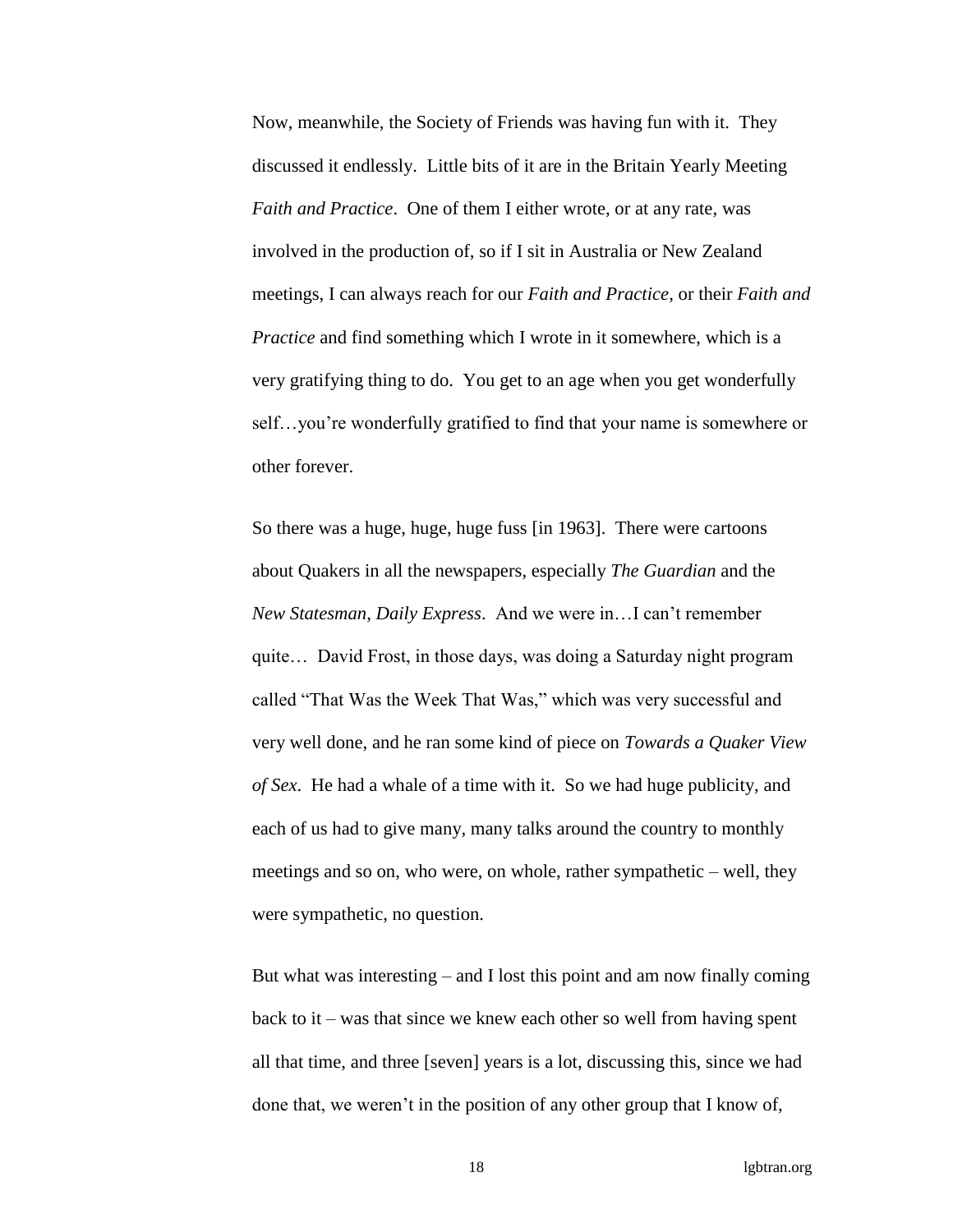Now, meanwhile, the Society of Friends was having fun with it. They discussed it endlessly. Little bits of it are in the Britain Yearly Meeting *Faith and Practice*. One of them I either wrote, or at any rate, was involved in the production of, so if I sit in Australia or New Zealand meetings, I can always reach for our *Faith and Practice*, or their *Faith and Practice* and find something which I wrote in it somewhere, which is a very gratifying thing to do. You get to an age when you get wonderfully self…you're wonderfully gratified to find that your name is somewhere or other forever.

So there was a huge, huge, huge fuss [in 1963]. There were cartoons about Quakers in all the newspapers, especially *The Guardian* and the *New Statesman, Daily Express*. And we were in…I can't remember quite… David Frost, in those days, was doing a Saturday night program called "That Was the Week That Was," which was very successful and very well done, and he ran some kind of piece on *Towards a Quaker View of Sex*. He had a whale of a time with it. So we had huge publicity, and each of us had to give many, many talks around the country to monthly meetings and so on, who were, on whole, rather sympathetic – well, they were sympathetic, no question.

But what was interesting – and I lost this point and am now finally coming back to it – was that since we knew each other so well from having spent all that time, and three [seven] years is a lot, discussing this, since we had done that, we weren't in the position of any other group that I know of,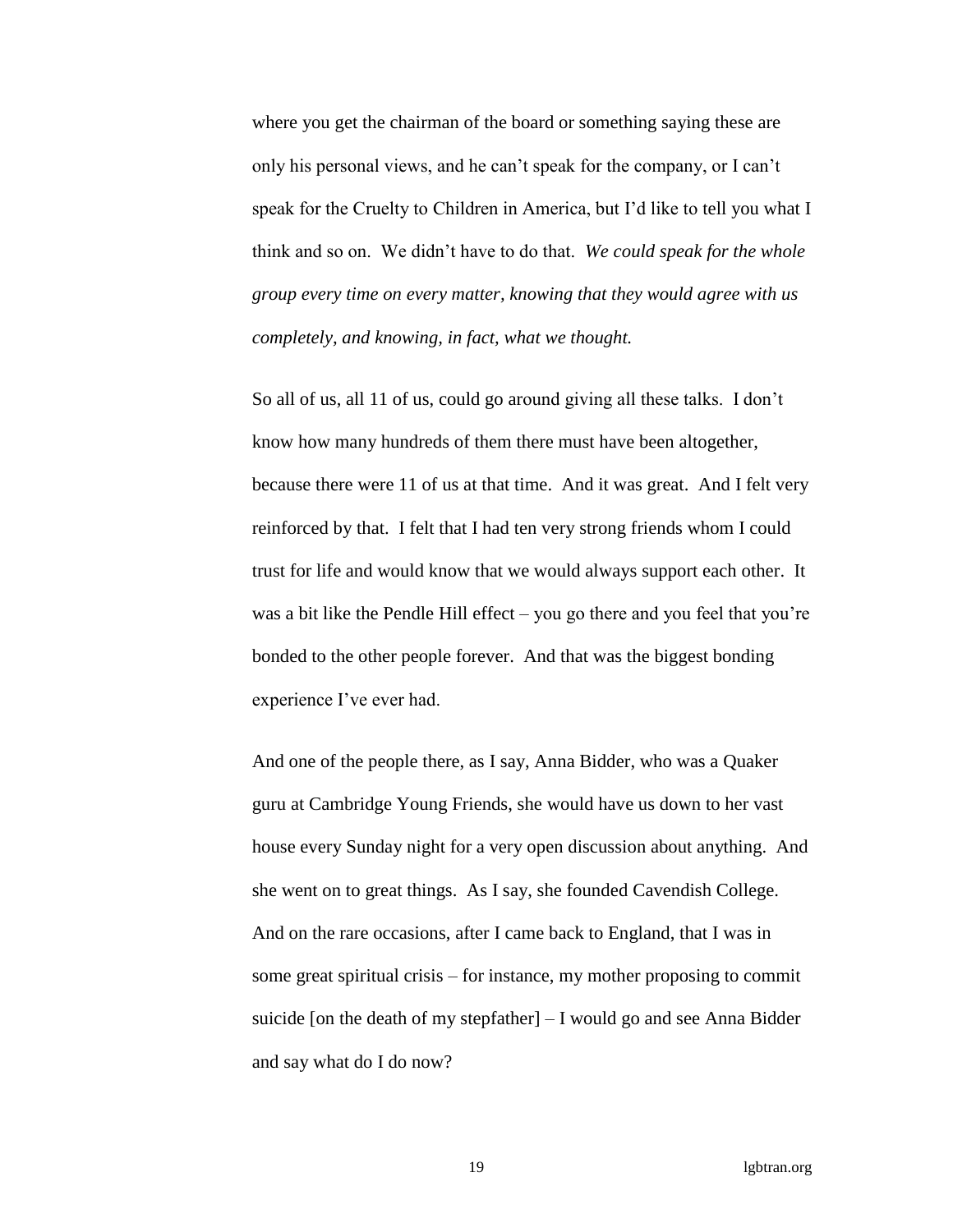where you get the chairman of the board or something saying these are only his personal views, and he can't speak for the company, or I can't speak for the Cruelty to Children in America, but I'd like to tell you what I think and so on. We didn't have to do that. *We could speak for the whole group every time on every matter, knowing that they would agree with us completely, and knowing, in fact, what we thought.*

So all of us, all 11 of us, could go around giving all these talks. I don't know how many hundreds of them there must have been altogether, because there were 11 of us at that time. And it was great. And I felt very reinforced by that. I felt that I had ten very strong friends whom I could trust for life and would know that we would always support each other. It was a bit like the Pendle Hill effect – you go there and you feel that you're bonded to the other people forever. And that was the biggest bonding experience I've ever had.

And one of the people there, as I say, Anna Bidder, who was a Quaker guru at Cambridge Young Friends, she would have us down to her vast house every Sunday night for a very open discussion about anything. And she went on to great things. As I say, she founded Cavendish College. And on the rare occasions, after I came back to England, that I was in some great spiritual crisis – for instance, my mother proposing to commit suicide [on the death of my stepfather] – I would go and see Anna Bidder and say what do I do now?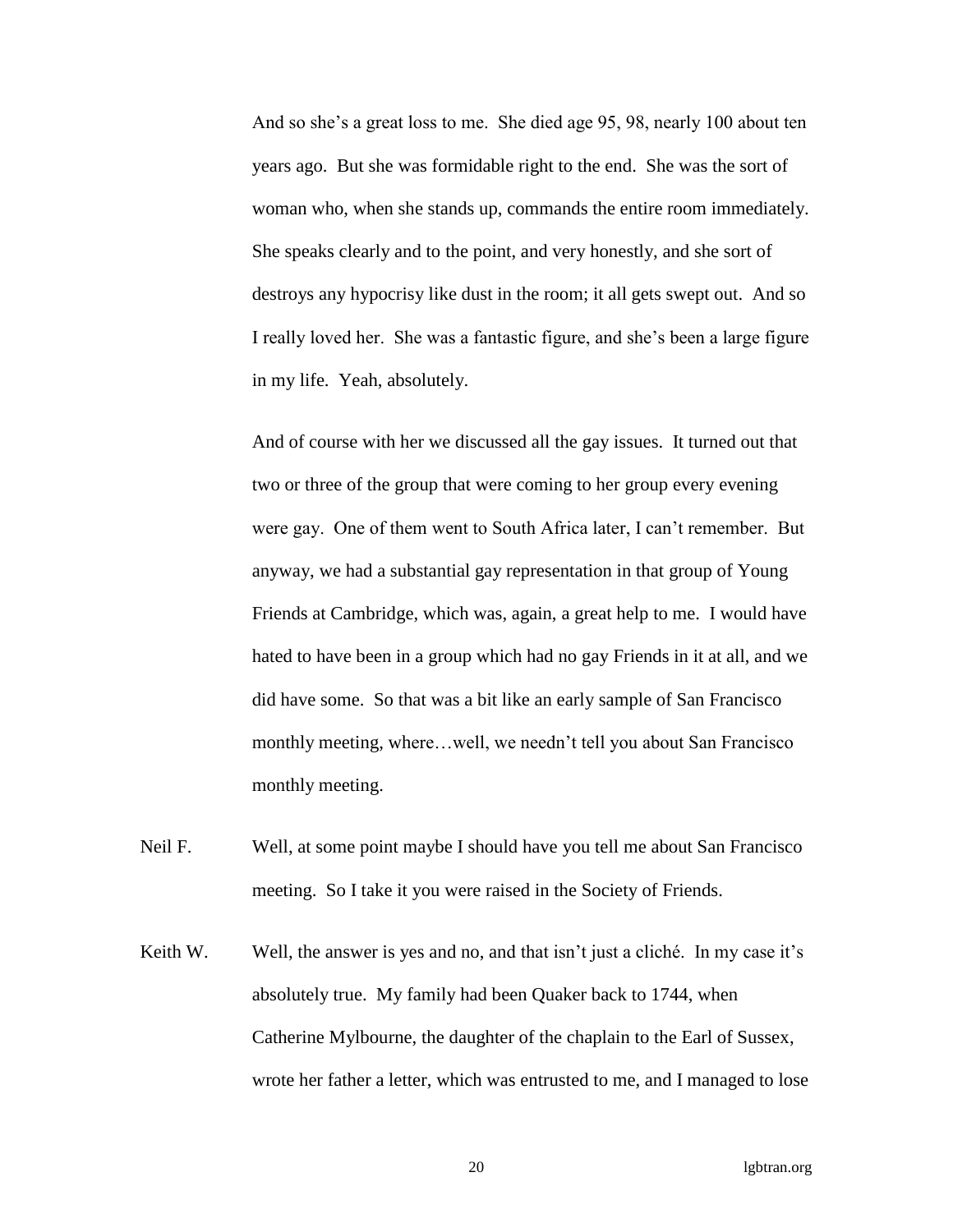And so she's a great loss to me. She died age 95, 98, nearly 100 about ten years ago. But she was formidable right to the end. She was the sort of woman who, when she stands up, commands the entire room immediately. She speaks clearly and to the point, and very honestly, and she sort of destroys any hypocrisy like dust in the room; it all gets swept out. And so I really loved her. She was a fantastic figure, and she's been a large figure in my life. Yeah, absolutely.

And of course with her we discussed all the gay issues. It turned out that two or three of the group that were coming to her group every evening were gay. One of them went to South Africa later, I can't remember. But anyway, we had a substantial gay representation in that group of Young Friends at Cambridge, which was, again, a great help to me. I would have hated to have been in a group which had no gay Friends in it at all, and we did have some. So that was a bit like an early sample of San Francisco monthly meeting, where…well, we needn't tell you about San Francisco monthly meeting.

- Neil F. Well, at some point maybe I should have you tell me about San Francisco meeting. So I take it you were raised in the Society of Friends.
- Keith W. Well, the answer is yes and no, and that isn't just a cliché. In my case it's absolutely true. My family had been Quaker back to 1744, when Catherine Mylbourne, the daughter of the chaplain to the Earl of Sussex, wrote her father a letter, which was entrusted to me, and I managed to lose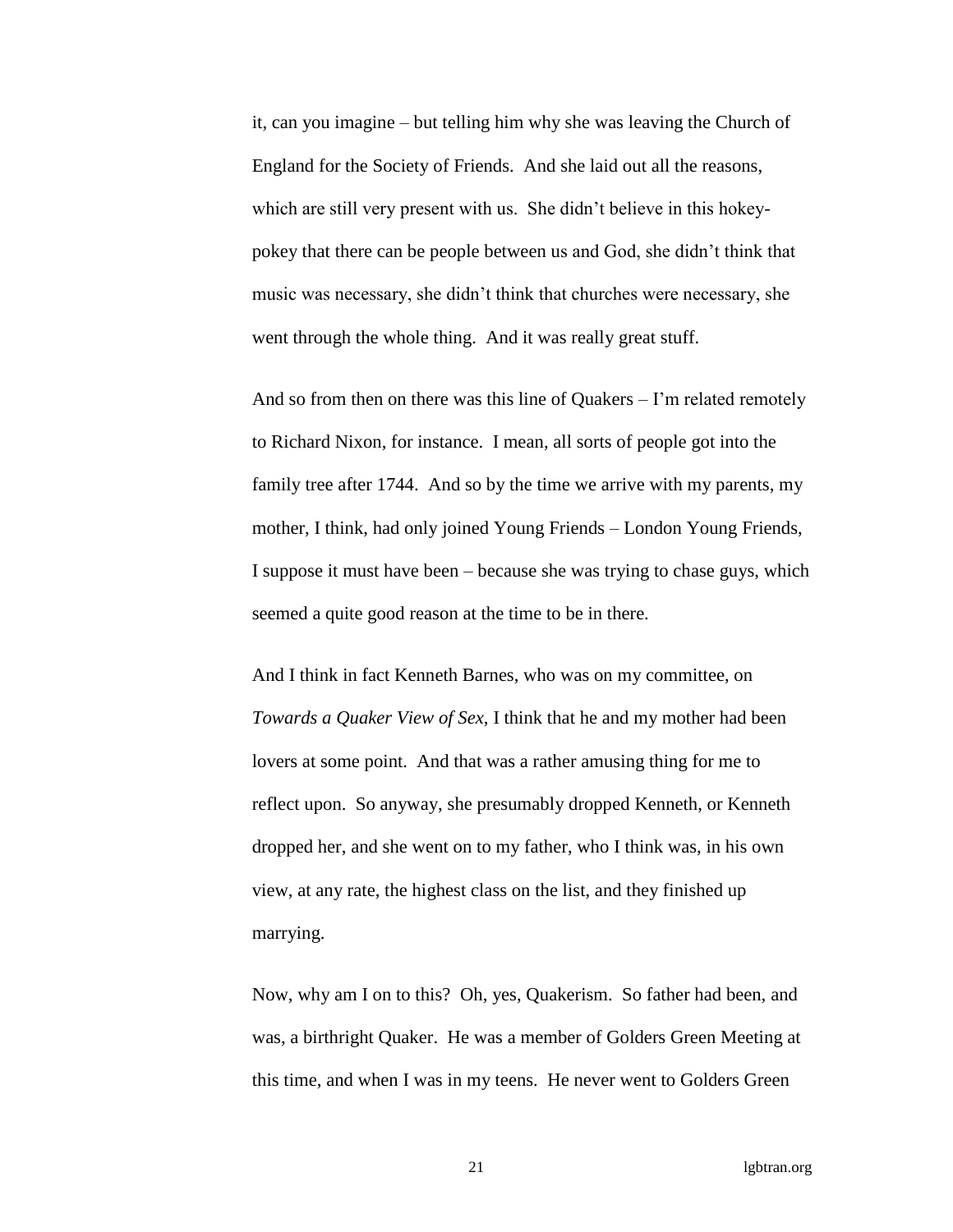it, can you imagine – but telling him why she was leaving the Church of England for the Society of Friends. And she laid out all the reasons, which are still very present with us. She didn't believe in this hokeypokey that there can be people between us and God, she didn't think that music was necessary, she didn't think that churches were necessary, she went through the whole thing. And it was really great stuff.

And so from then on there was this line of Quakers – I'm related remotely to Richard Nixon, for instance. I mean, all sorts of people got into the family tree after 1744. And so by the time we arrive with my parents, my mother, I think, had only joined Young Friends – London Young Friends, I suppose it must have been – because she was trying to chase guys, which seemed a quite good reason at the time to be in there.

And I think in fact Kenneth Barnes, who was on my committee, on *Towards a Quaker View of Sex*, I think that he and my mother had been lovers at some point. And that was a rather amusing thing for me to reflect upon. So anyway, she presumably dropped Kenneth, or Kenneth dropped her, and she went on to my father, who I think was, in his own view, at any rate, the highest class on the list, and they finished up marrying.

Now, why am I on to this? Oh, yes, Quakerism. So father had been, and was, a birthright Quaker. He was a member of Golders Green Meeting at this time, and when I was in my teens. He never went to Golders Green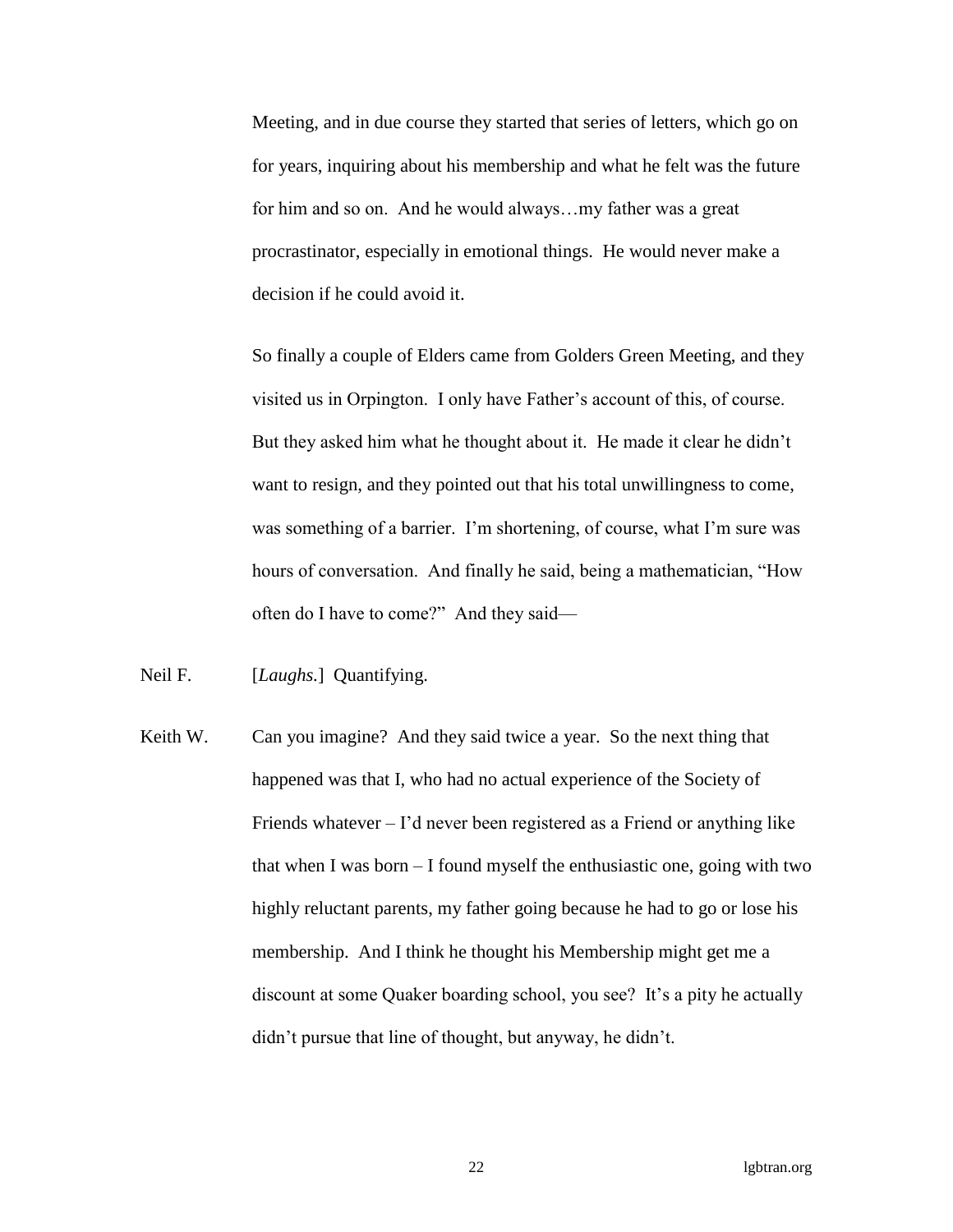Meeting, and in due course they started that series of letters, which go on for years, inquiring about his membership and what he felt was the future for him and so on. And he would always…my father was a great procrastinator, especially in emotional things. He would never make a decision if he could avoid it.

So finally a couple of Elders came from Golders Green Meeting, and they visited us in Orpington. I only have Father's account of this, of course. But they asked him what he thought about it. He made it clear he didn't want to resign, and they pointed out that his total unwillingness to come, was something of a barrier. I'm shortening, of course, what I'm sure was hours of conversation. And finally he said, being a mathematician, "How often do I have to come?" And they said—

Neil F. [*Laughs.*] Quantifying.

Keith W. Can you imagine? And they said twice a year. So the next thing that happened was that I, who had no actual experience of the Society of Friends whatever  $-1$ 'd never been registered as a Friend or anything like that when I was born – I found myself the enthusiastic one, going with two highly reluctant parents, my father going because he had to go or lose his membership. And I think he thought his Membership might get me a discount at some Quaker boarding school, you see? It's a pity he actually didn't pursue that line of thought, but anyway, he didn't.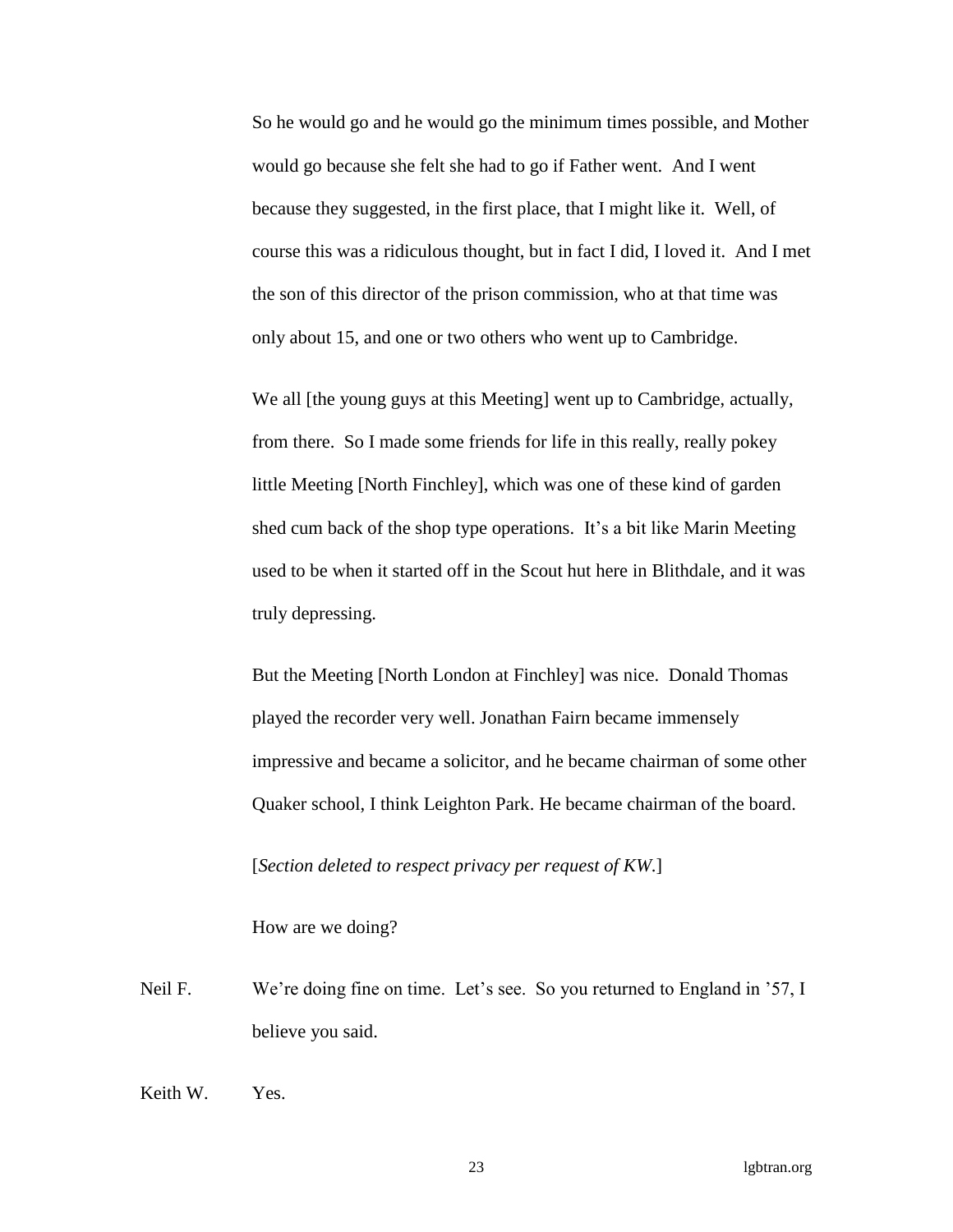So he would go and he would go the minimum times possible, and Mother would go because she felt she had to go if Father went. And I went because they suggested, in the first place, that I might like it. Well, of course this was a ridiculous thought, but in fact I did, I loved it. And I met the son of this director of the prison commission, who at that time was only about 15, and one or two others who went up to Cambridge.

We all [the young guys at this Meeting] went up to Cambridge, actually, from there. So I made some friends for life in this really, really pokey little Meeting [North Finchley], which was one of these kind of garden shed cum back of the shop type operations. It's a bit like Marin Meeting used to be when it started off in the Scout hut here in Blithdale, and it was truly depressing.

But the Meeting [North London at Finchley] was nice. Donald Thomas played the recorder very well. Jonathan Fairn became immensely impressive and became a solicitor, and he became chairman of some other Quaker school, I think Leighton Park. He became chairman of the board.

[*Section deleted to respect privacy per request of KW*.]

How are we doing?

Neil F. We're doing fine on time. Let's see. So you returned to England in '57, I believe you said.

Keith W. Yes.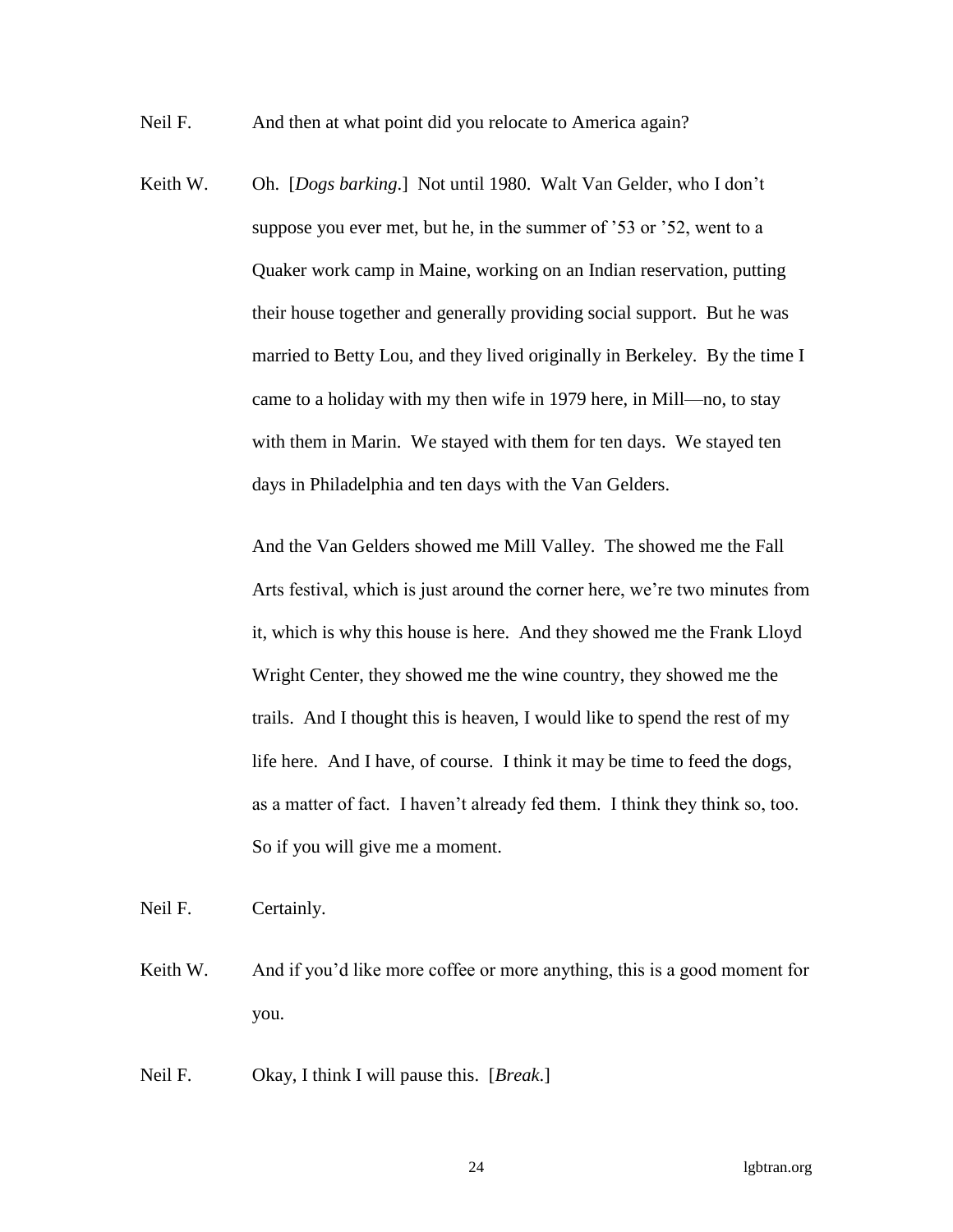Neil F. And then at what point did you relocate to America again?

Keith W. Oh. [*Dogs barking*.] Not until 1980. Walt Van Gelder, who I don't suppose you ever met, but he, in the summer of '53 or '52, went to a Quaker work camp in Maine, working on an Indian reservation, putting their house together and generally providing social support. But he was married to Betty Lou, and they lived originally in Berkeley. By the time I came to a holiday with my then wife in 1979 here, in Mill—no, to stay with them in Marin. We stayed with them for ten days. We stayed ten days in Philadelphia and ten days with the Van Gelders.

> And the Van Gelders showed me Mill Valley. The showed me the Fall Arts festival, which is just around the corner here, we're two minutes from it, which is why this house is here. And they showed me the Frank Lloyd Wright Center, they showed me the wine country, they showed me the trails. And I thought this is heaven, I would like to spend the rest of my life here. And I have, of course. I think it may be time to feed the dogs, as a matter of fact. I haven't already fed them. I think they think so, too. So if you will give me a moment.

Neil F. Certainly.

Keith W. And if you'd like more coffee or more anything, this is a good moment for you.

Neil F. Okay, I think I will pause this. [*Break*.]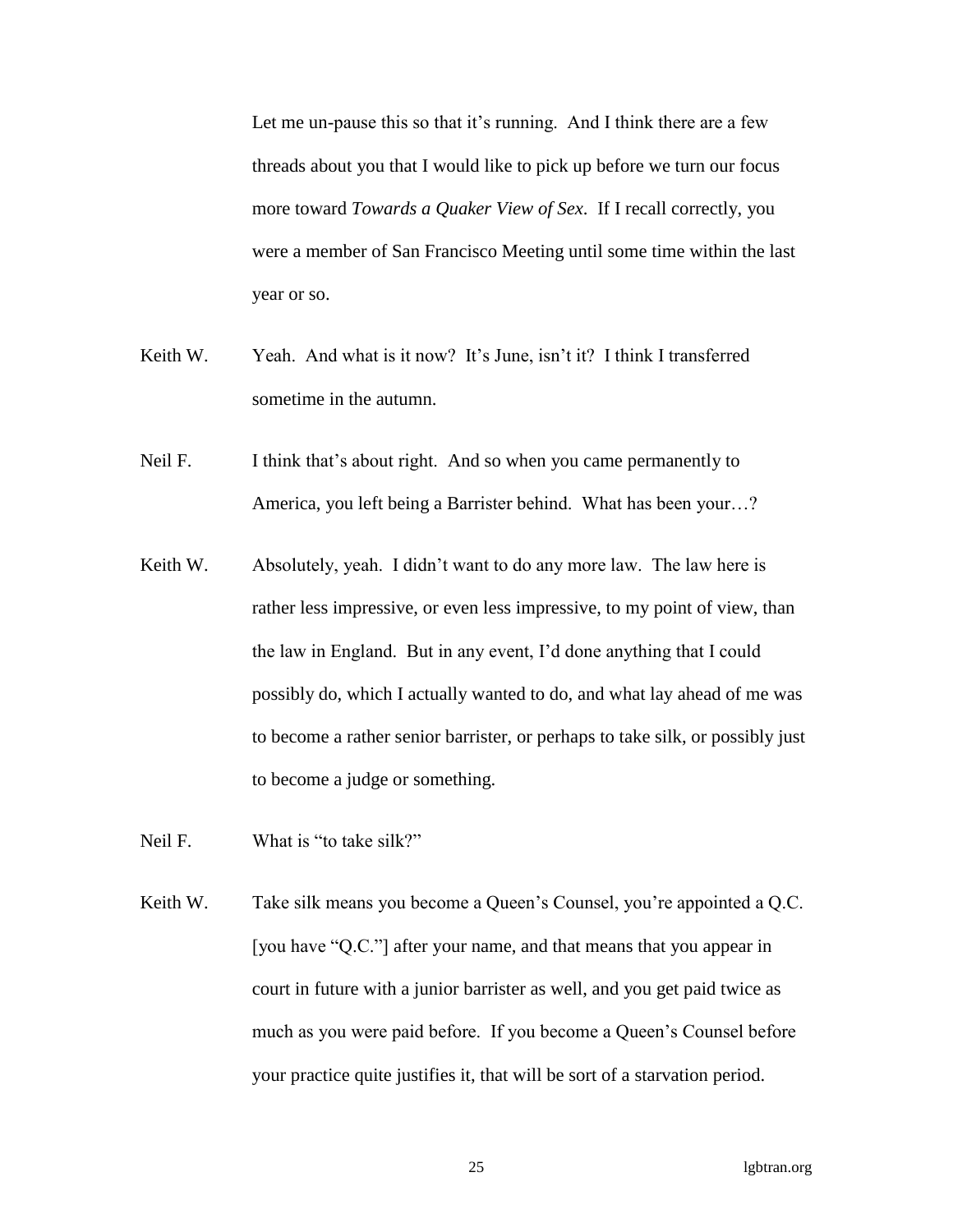Let me un-pause this so that it's running. And I think there are a few threads about you that I would like to pick up before we turn our focus more toward *Towards a Quaker View of Sex*. If I recall correctly, you were a member of San Francisco Meeting until some time within the last year or so.

- Keith W. Yeah. And what is it now? It's June, isn't it? I think I transferred sometime in the autumn.
- Neil F. I think that's about right. And so when you came permanently to America, you left being a Barrister behind. What has been your…?
- Keith W. Absolutely, yeah. I didn't want to do any more law. The law here is rather less impressive, or even less impressive, to my point of view, than the law in England. But in any event, I'd done anything that I could possibly do, which I actually wanted to do, and what lay ahead of me was to become a rather senior barrister, or perhaps to take silk, or possibly just to become a judge or something.
- Neil F. What is "to take silk?"
- Keith W. Take silk means you become a Queen's Counsel, you're appointed a Q.C. [you have "Q.C."] after your name, and that means that you appear in court in future with a junior barrister as well, and you get paid twice as much as you were paid before. If you become a Queen's Counsel before your practice quite justifies it, that will be sort of a starvation period.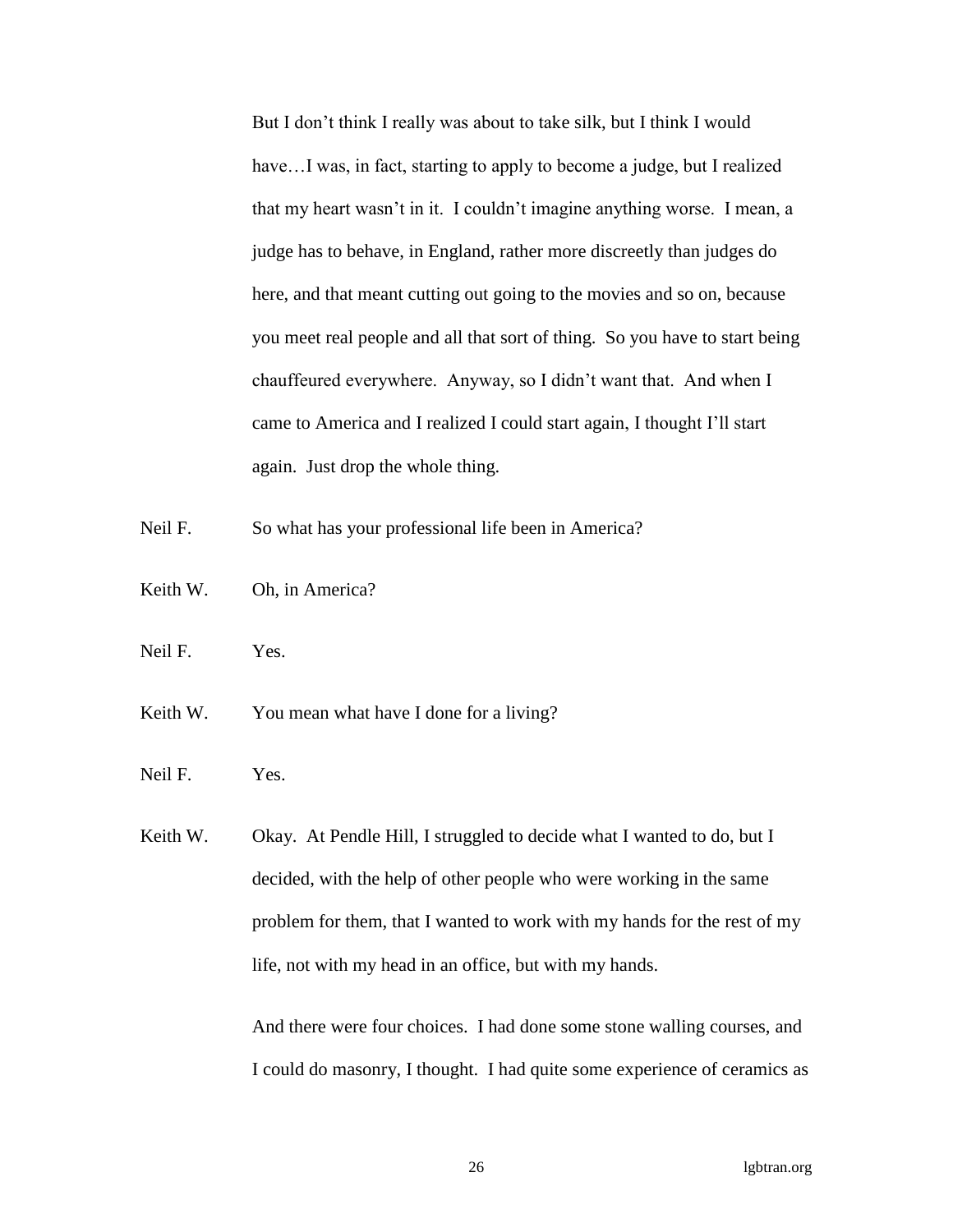But I don't think I really was about to take silk, but I think I would have...I was, in fact, starting to apply to become a judge, but I realized that my heart wasn't in it. I couldn't imagine anything worse. I mean, a judge has to behave, in England, rather more discreetly than judges do here, and that meant cutting out going to the movies and so on, because you meet real people and all that sort of thing. So you have to start being chauffeured everywhere. Anyway, so I didn't want that. And when I came to America and I realized I could start again, I thought I'll start again. Just drop the whole thing.

Neil F. So what has your professional life been in America?

- Keith W. Oh, in America?
- Neil F. Yes.
- Keith W. You mean what have I done for a living?
- Neil F. Yes.

Keith W. Okay. At Pendle Hill, I struggled to decide what I wanted to do, but I decided, with the help of other people who were working in the same problem for them, that I wanted to work with my hands for the rest of my life, not with my head in an office, but with my hands.

> And there were four choices. I had done some stone walling courses, and I could do masonry, I thought. I had quite some experience of ceramics as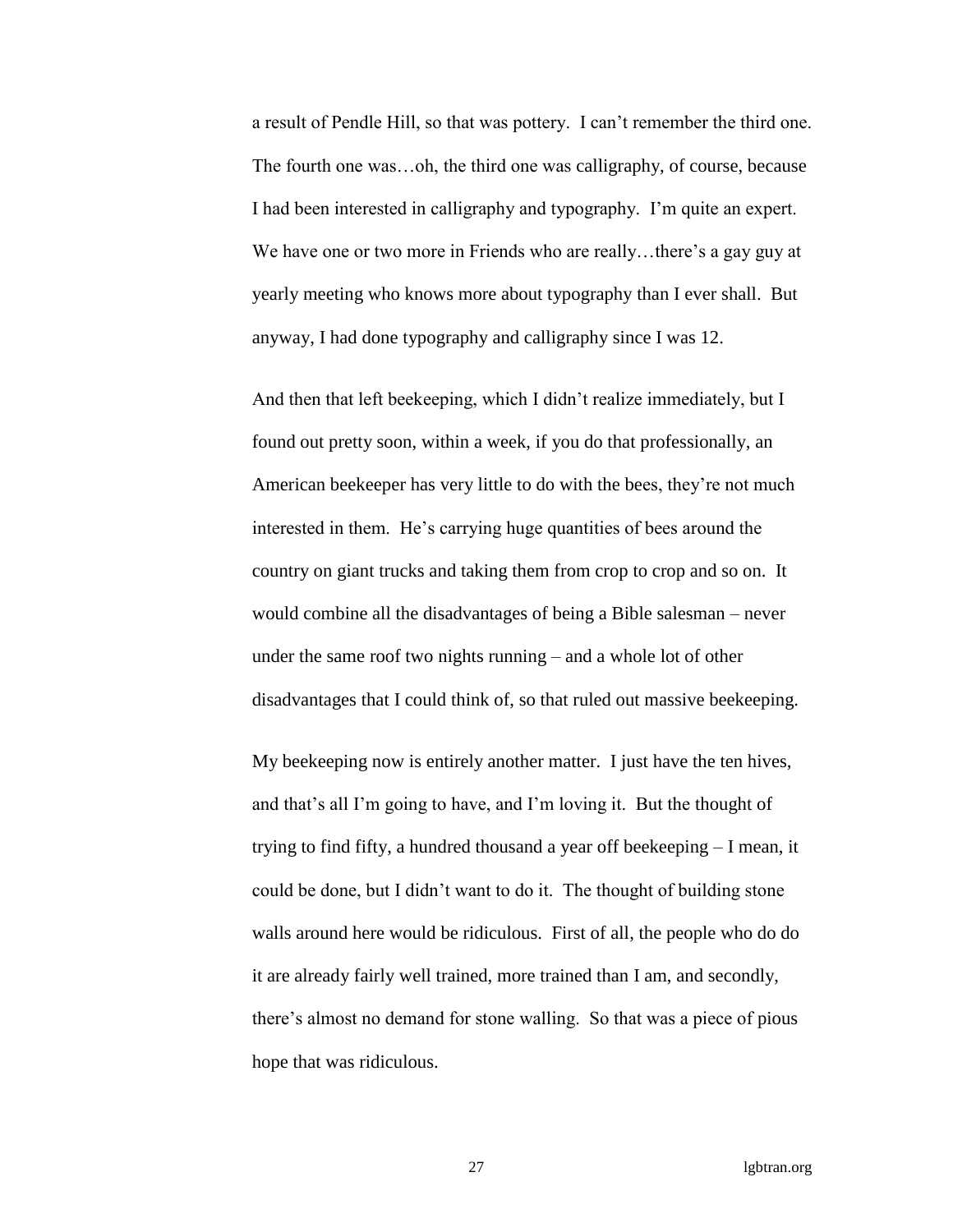a result of Pendle Hill, so that was pottery. I can't remember the third one. The fourth one was…oh, the third one was calligraphy, of course, because I had been interested in calligraphy and typography. I'm quite an expert. We have one or two more in Friends who are really...there's a gay guy at yearly meeting who knows more about typography than I ever shall. But anyway, I had done typography and calligraphy since I was 12.

And then that left beekeeping, which I didn't realize immediately, but I found out pretty soon, within a week, if you do that professionally, an American beekeeper has very little to do with the bees, they're not much interested in them. He's carrying huge quantities of bees around the country on giant trucks and taking them from crop to crop and so on. It would combine all the disadvantages of being a Bible salesman – never under the same roof two nights running – and a whole lot of other disadvantages that I could think of, so that ruled out massive beekeeping.

My beekeeping now is entirely another matter. I just have the ten hives, and that's all I'm going to have, and I'm loving it. But the thought of trying to find fifty, a hundred thousand a year off beekeeping – I mean, it could be done, but I didn't want to do it. The thought of building stone walls around here would be ridiculous. First of all, the people who do do it are already fairly well trained, more trained than I am, and secondly, there's almost no demand for stone walling. So that was a piece of pious hope that was ridiculous.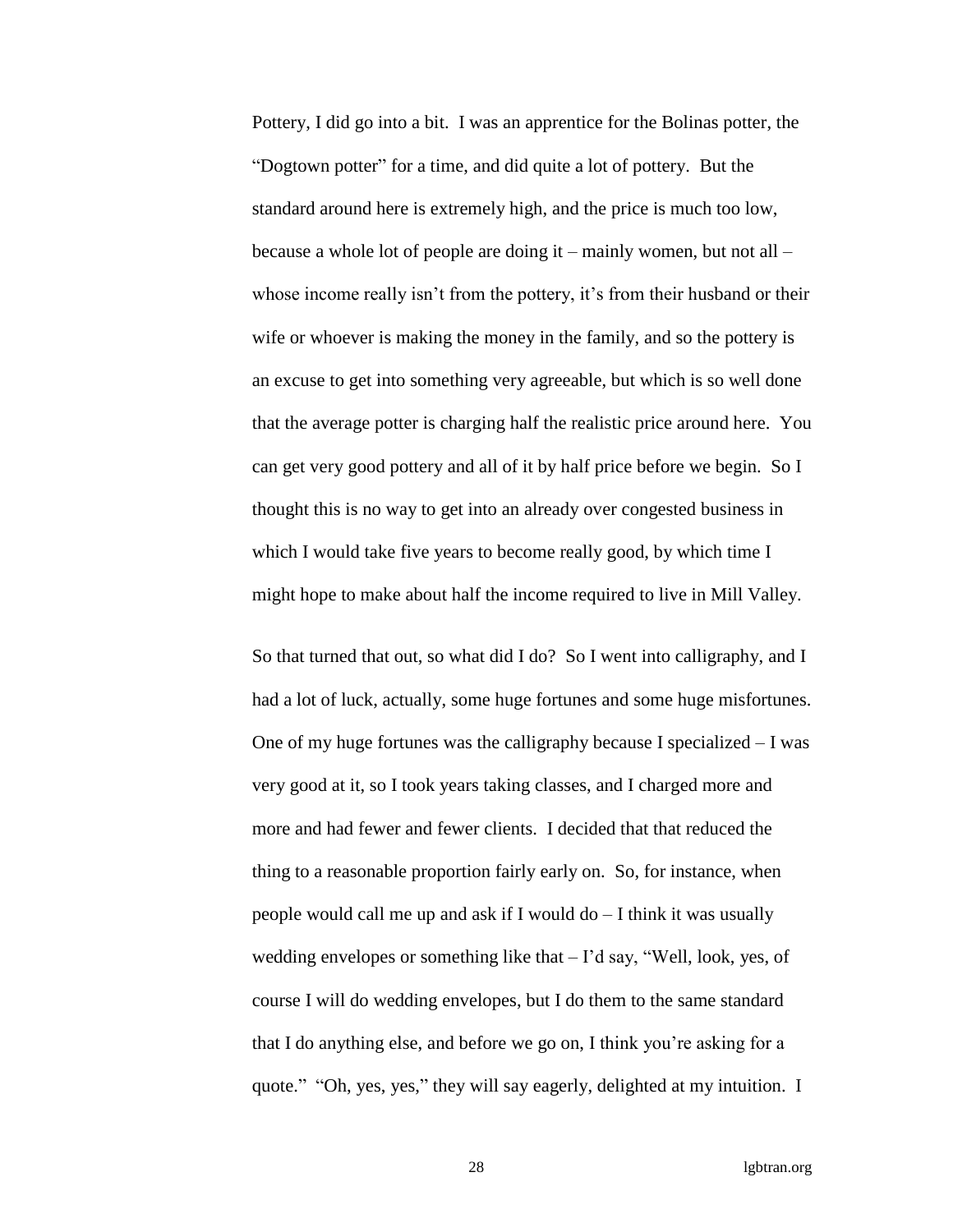Pottery, I did go into a bit. I was an apprentice for the Bolinas potter, the "Dogtown potter" for a time, and did quite a lot of pottery. But the standard around here is extremely high, and the price is much too low, because a whole lot of people are doing it – mainly women, but not all – whose income really isn't from the pottery, it's from their husband or their wife or whoever is making the money in the family, and so the pottery is an excuse to get into something very agreeable, but which is so well done that the average potter is charging half the realistic price around here. You can get very good pottery and all of it by half price before we begin. So I thought this is no way to get into an already over congested business in which I would take five years to become really good, by which time I might hope to make about half the income required to live in Mill Valley.

So that turned that out, so what did I do? So I went into calligraphy, and I had a lot of luck, actually, some huge fortunes and some huge misfortunes. One of my huge fortunes was the calligraphy because I specialized – I was very good at it, so I took years taking classes, and I charged more and more and had fewer and fewer clients. I decided that that reduced the thing to a reasonable proportion fairly early on. So, for instance, when people would call me up and ask if I would do – I think it was usually wedding envelopes or something like that – I'd say, "Well, look, yes, of course I will do wedding envelopes, but I do them to the same standard that I do anything else, and before we go on, I think you're asking for a quote." "Oh, yes, yes," they will say eagerly, delighted at my intuition. I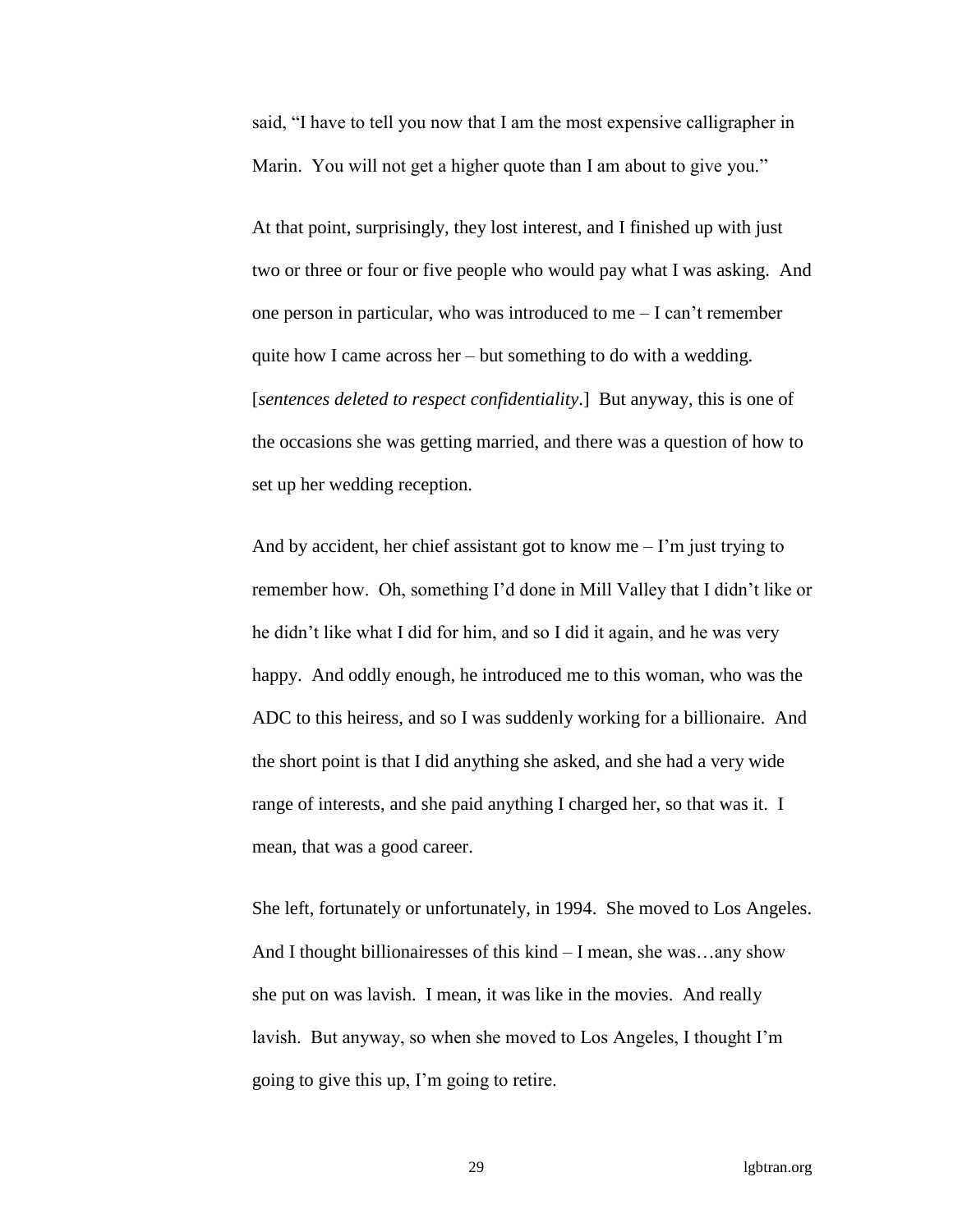said, "I have to tell you now that I am the most expensive calligrapher in Marin. You will not get a higher quote than I am about to give you."

At that point, surprisingly, they lost interest, and I finished up with just two or three or four or five people who would pay what I was asking. And one person in particular, who was introduced to me – I can't remember quite how I came across her – but something to do with a wedding. [*sentences deleted to respect confidentiality*.] But anyway, this is one of the occasions she was getting married, and there was a question of how to set up her wedding reception.

And by accident, her chief assistant got to know me  $-1$ 'm just trying to remember how. Oh, something I'd done in Mill Valley that I didn't like or he didn't like what I did for him, and so I did it again, and he was very happy. And oddly enough, he introduced me to this woman, who was the ADC to this heiress, and so I was suddenly working for a billionaire. And the short point is that I did anything she asked, and she had a very wide range of interests, and she paid anything I charged her, so that was it. I mean, that was a good career.

She left, fortunately or unfortunately, in 1994. She moved to Los Angeles. And I thought billionairesses of this kind – I mean, she was…any show she put on was lavish. I mean, it was like in the movies. And really lavish. But anyway, so when she moved to Los Angeles, I thought I'm going to give this up, I'm going to retire.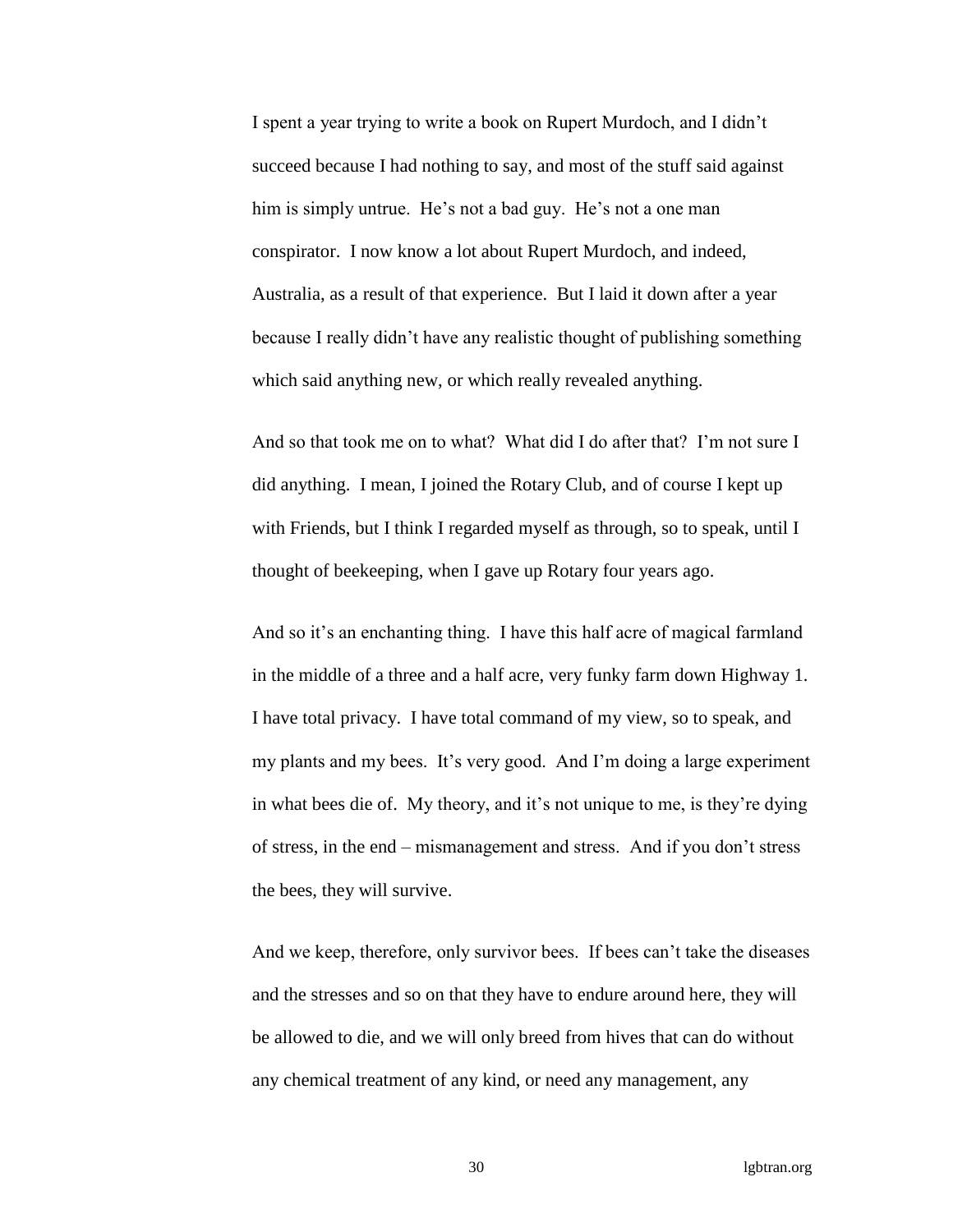I spent a year trying to write a book on Rupert Murdoch, and I didn't succeed because I had nothing to say, and most of the stuff said against him is simply untrue. He's not a bad guy. He's not a one man conspirator. I now know a lot about Rupert Murdoch, and indeed, Australia, as a result of that experience. But I laid it down after a year because I really didn't have any realistic thought of publishing something which said anything new, or which really revealed anything.

And so that took me on to what? What did I do after that? I'm not sure I did anything. I mean, I joined the Rotary Club, and of course I kept up with Friends, but I think I regarded myself as through, so to speak, until I thought of beekeeping, when I gave up Rotary four years ago.

And so it's an enchanting thing. I have this half acre of magical farmland in the middle of a three and a half acre, very funky farm down Highway 1. I have total privacy. I have total command of my view, so to speak, and my plants and my bees. It's very good. And I'm doing a large experiment in what bees die of. My theory, and it's not unique to me, is they're dying of stress, in the end – mismanagement and stress. And if you don't stress the bees, they will survive.

And we keep, therefore, only survivor bees. If bees can't take the diseases and the stresses and so on that they have to endure around here, they will be allowed to die, and we will only breed from hives that can do without any chemical treatment of any kind, or need any management, any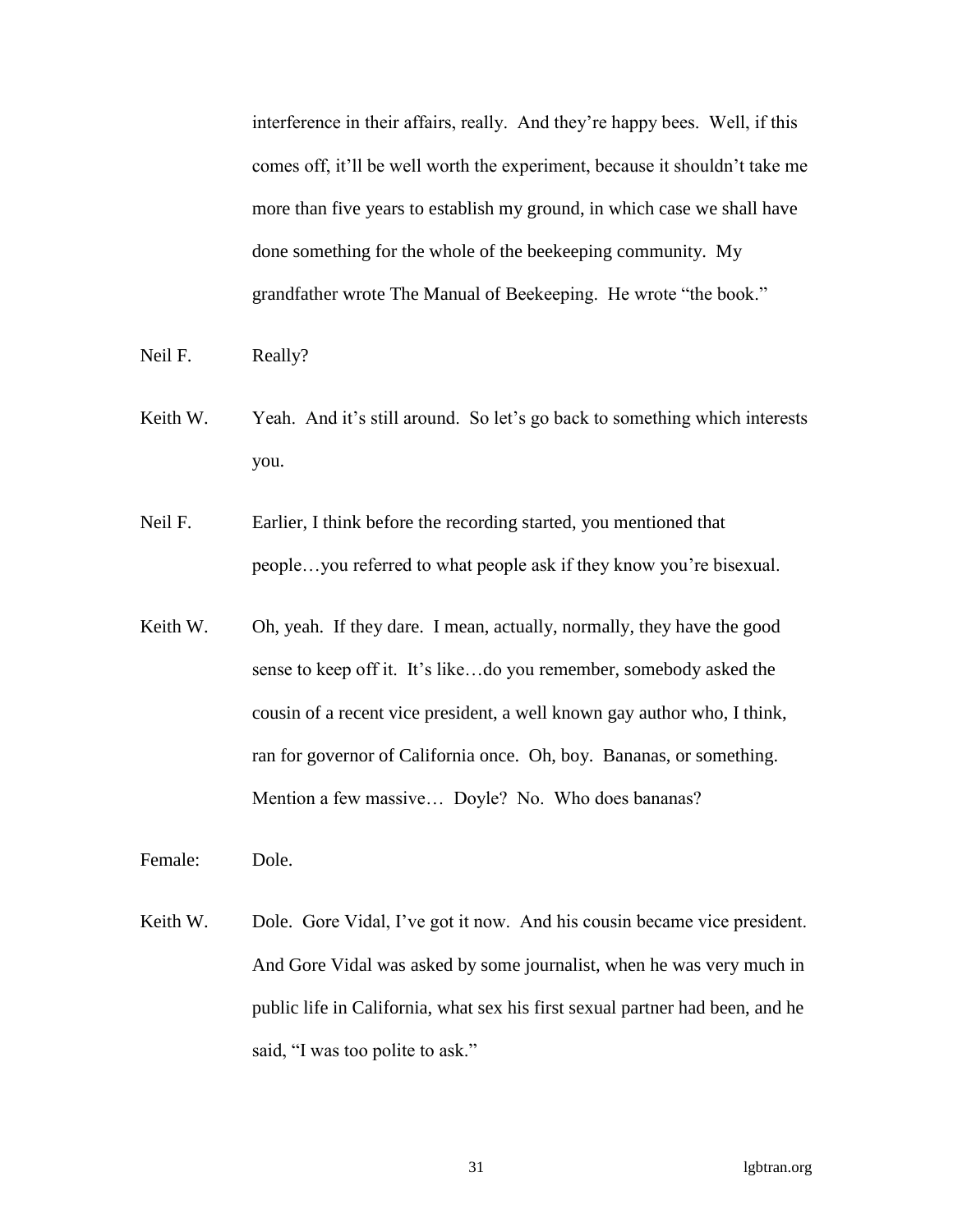interference in their affairs, really. And they're happy bees. Well, if this comes off, it'll be well worth the experiment, because it shouldn't take me more than five years to establish my ground, in which case we shall have done something for the whole of the beekeeping community. My grandfather wrote The Manual of Beekeeping. He wrote "the book."

- Neil F. Really?
- Keith W. Yeah. And it's still around. So let's go back to something which interests you.
- Neil F. Earlier, I think before the recording started, you mentioned that people…you referred to what people ask if they know you're bisexual.
- Keith W. Oh, yeah. If they dare. I mean, actually, normally, they have the good sense to keep off it. It's like…do you remember, somebody asked the cousin of a recent vice president, a well known gay author who, I think, ran for governor of California once. Oh, boy. Bananas, or something. Mention a few massive... Doyle? No. Who does bananas?
- Female: Dole.
- Keith W. Dole. Gore Vidal, I've got it now. And his cousin became vice president. And Gore Vidal was asked by some journalist, when he was very much in public life in California, what sex his first sexual partner had been, and he said, "I was too polite to ask."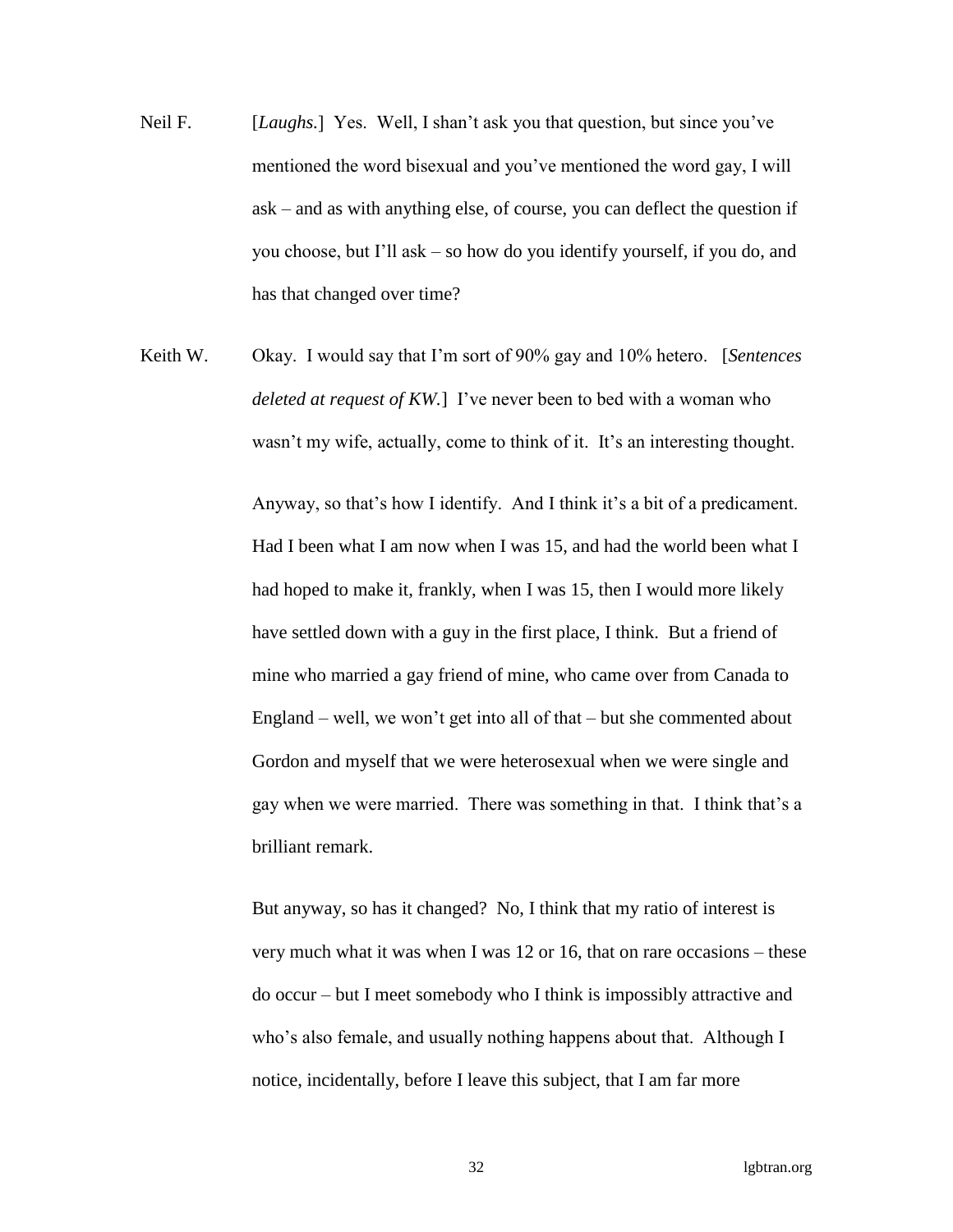- Neil F. [*Laughs.*] Yes. Well, I shan't ask you that question, but since you've mentioned the word bisexual and you've mentioned the word gay, I will ask – and as with anything else, of course, you can deflect the question if you choose, but I'll ask – so how do you identify yourself, if you do, and has that changed over time?
- Keith W. Okay. I would say that I'm sort of 90% gay and 10% hetero. [*Sentences deleted at request of KW.*] I've never been to bed with a woman who wasn't my wife, actually, come to think of it. It's an interesting thought.

Anyway, so that's how I identify. And I think it's a bit of a predicament. Had I been what I am now when I was 15, and had the world been what I had hoped to make it, frankly, when I was 15, then I would more likely have settled down with a guy in the first place, I think. But a friend of mine who married a gay friend of mine, who came over from Canada to England – well, we won't get into all of that – but she commented about Gordon and myself that we were heterosexual when we were single and gay when we were married. There was something in that. I think that's a brilliant remark.

But anyway, so has it changed? No, I think that my ratio of interest is very much what it was when I was 12 or 16, that on rare occasions – these do occur – but I meet somebody who I think is impossibly attractive and who's also female, and usually nothing happens about that. Although I notice, incidentally, before I leave this subject, that I am far more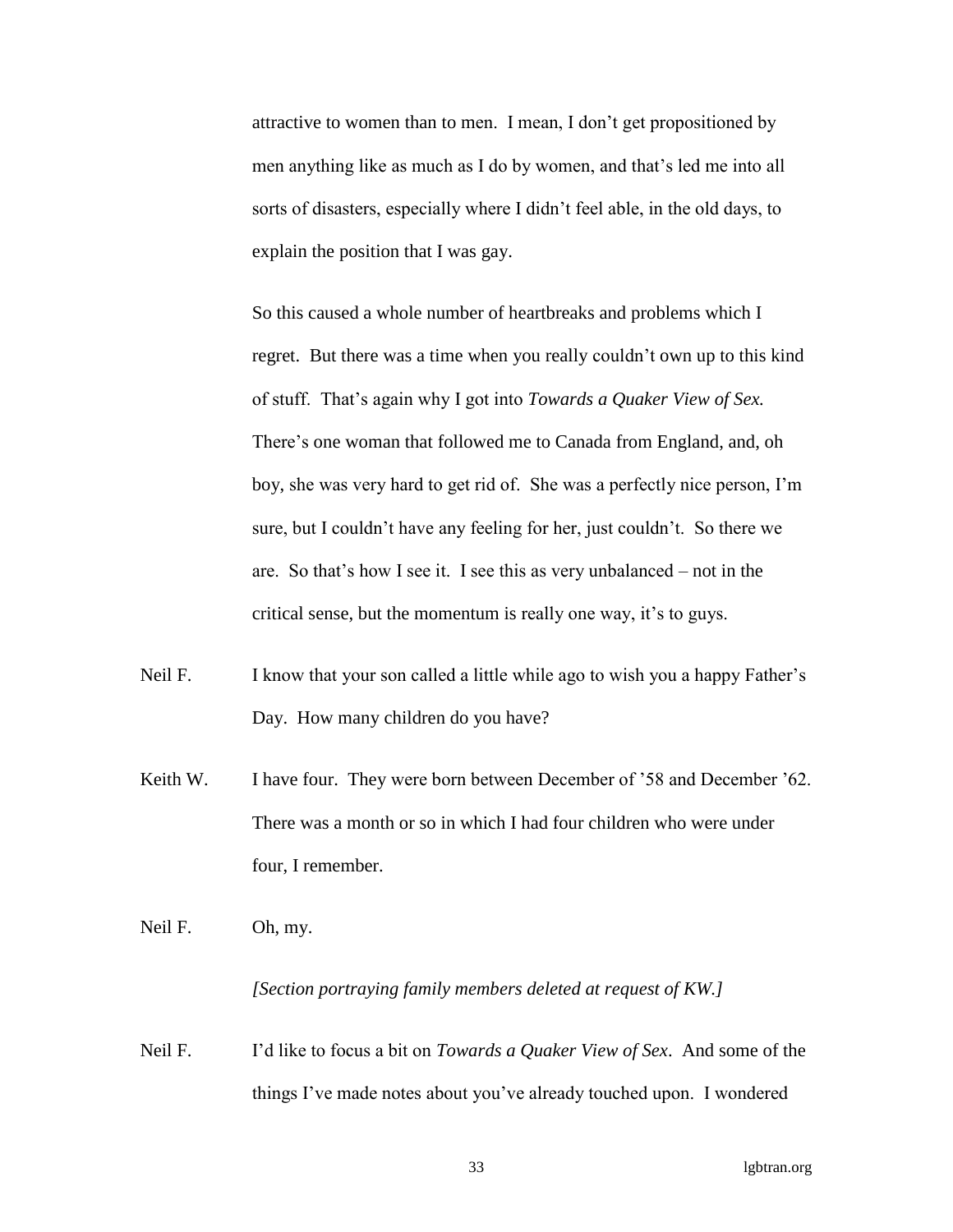attractive to women than to men. I mean, I don't get propositioned by men anything like as much as I do by women, and that's led me into all sorts of disasters, especially where I didn't feel able, in the old days, to explain the position that I was gay.

So this caused a whole number of heartbreaks and problems which I regret. But there was a time when you really couldn't own up to this kind of stuff. That's again why I got into *Towards a Quaker View of Sex.* There's one woman that followed me to Canada from England, and, oh boy, she was very hard to get rid of. She was a perfectly nice person, I'm sure, but I couldn't have any feeling for her, just couldn't. So there we are. So that's how I see it. I see this as very unbalanced – not in the critical sense, but the momentum is really one way, it's to guys.

- Neil F. I know that your son called a little while ago to wish you a happy Father's Day. How many children do you have?
- Keith W. I have four. They were born between December of '58 and December '62. There was a month or so in which I had four children who were under four, I remember.

Neil F. Oh, my.

# *[Section portraying family members deleted at request of KW.]*

Neil F. I'd like to focus a bit on *Towards a Quaker View of Sex*. And some of the things I've made notes about you've already touched upon. I wondered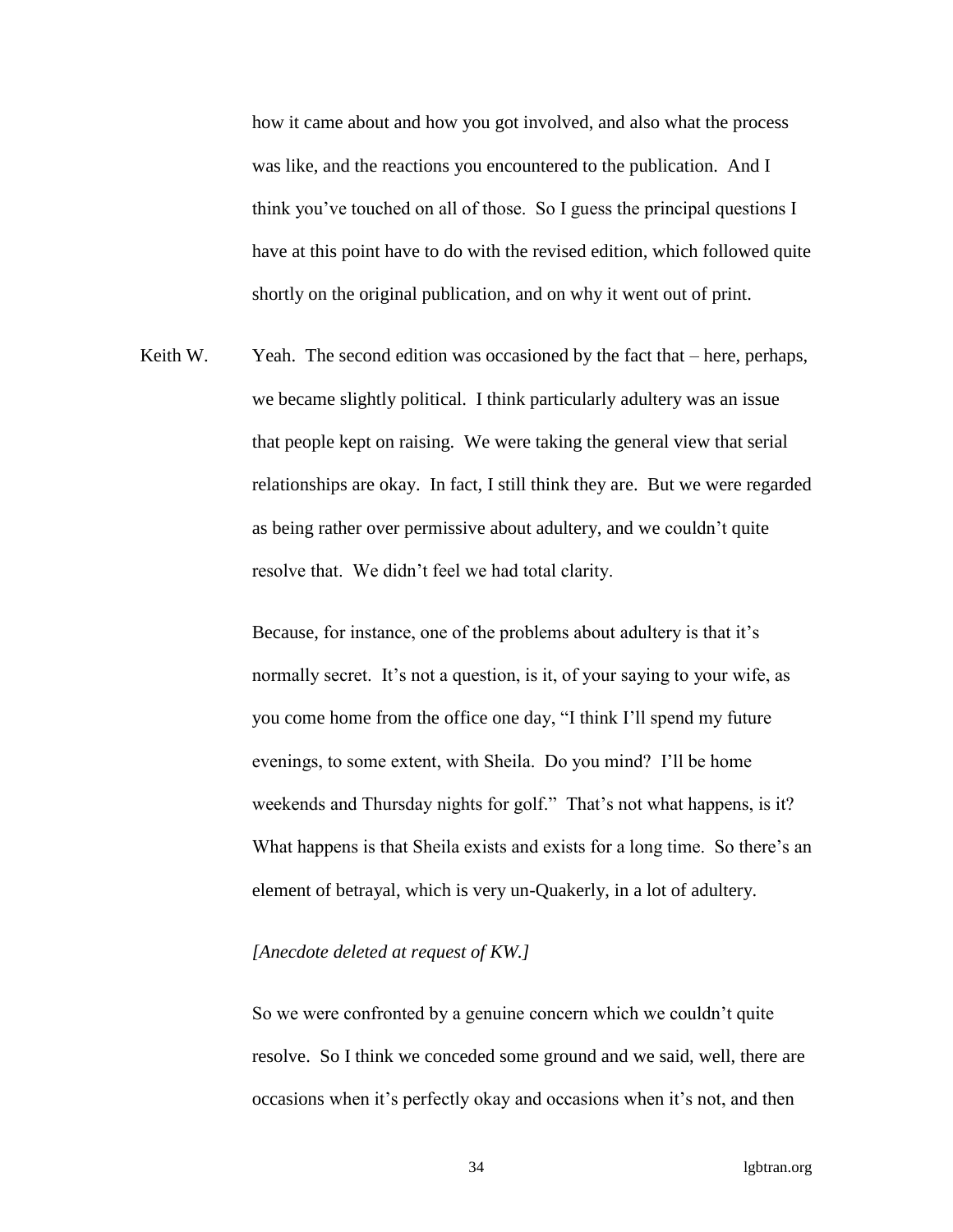how it came about and how you got involved, and also what the process was like, and the reactions you encountered to the publication. And I think you've touched on all of those. So I guess the principal questions I have at this point have to do with the revised edition, which followed quite shortly on the original publication, and on why it went out of print.

Keith W. Yeah. The second edition was occasioned by the fact that – here, perhaps, we became slightly political. I think particularly adultery was an issue that people kept on raising. We were taking the general view that serial relationships are okay. In fact, I still think they are. But we were regarded as being rather over permissive about adultery, and we couldn't quite resolve that. We didn't feel we had total clarity.

> Because, for instance, one of the problems about adultery is that it's normally secret. It's not a question, is it, of your saying to your wife, as you come home from the office one day, "I think I'll spend my future evenings, to some extent, with Sheila. Do you mind? I'll be home weekends and Thursday nights for golf." That's not what happens, is it? What happens is that Sheila exists and exists for a long time. So there's an element of betrayal, which is very un-Quakerly, in a lot of adultery.

### *[Anecdote deleted at request of KW.]*

So we were confronted by a genuine concern which we couldn't quite resolve. So I think we conceded some ground and we said, well, there are occasions when it's perfectly okay and occasions when it's not, and then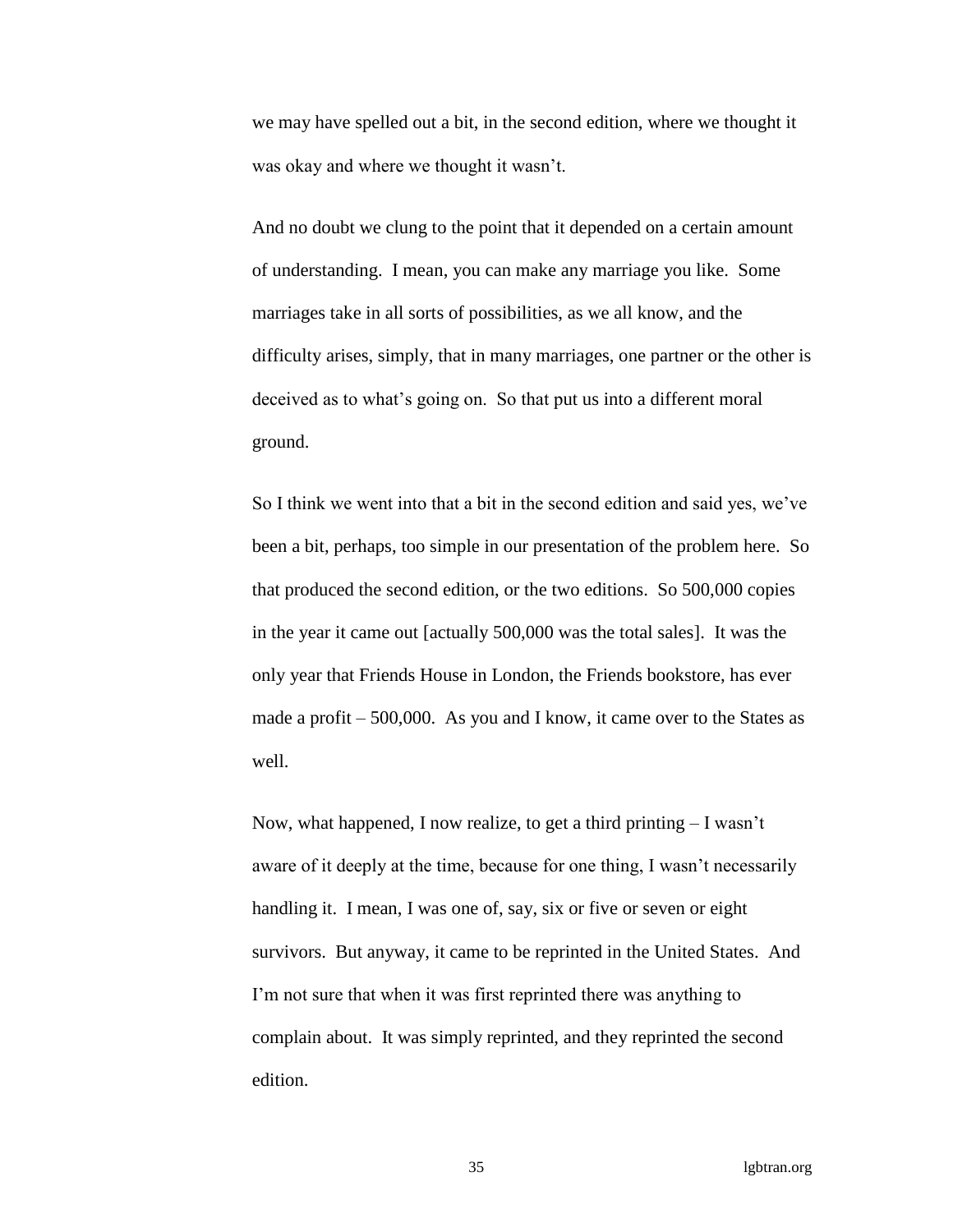we may have spelled out a bit, in the second edition, where we thought it was okay and where we thought it wasn't.

And no doubt we clung to the point that it depended on a certain amount of understanding. I mean, you can make any marriage you like. Some marriages take in all sorts of possibilities, as we all know, and the difficulty arises, simply, that in many marriages, one partner or the other is deceived as to what's going on. So that put us into a different moral ground.

So I think we went into that a bit in the second edition and said yes, we've been a bit, perhaps, too simple in our presentation of the problem here. So that produced the second edition, or the two editions. So 500,000 copies in the year it came out [actually 500,000 was the total sales]. It was the only year that Friends House in London, the Friends bookstore, has ever made a profit – 500,000. As you and I know, it came over to the States as well.

Now, what happened, I now realize, to get a third printing  $-I$  wasn't aware of it deeply at the time, because for one thing, I wasn't necessarily handling it. I mean, I was one of, say, six or five or seven or eight survivors. But anyway, it came to be reprinted in the United States. And I'm not sure that when it was first reprinted there was anything to complain about. It was simply reprinted, and they reprinted the second edition.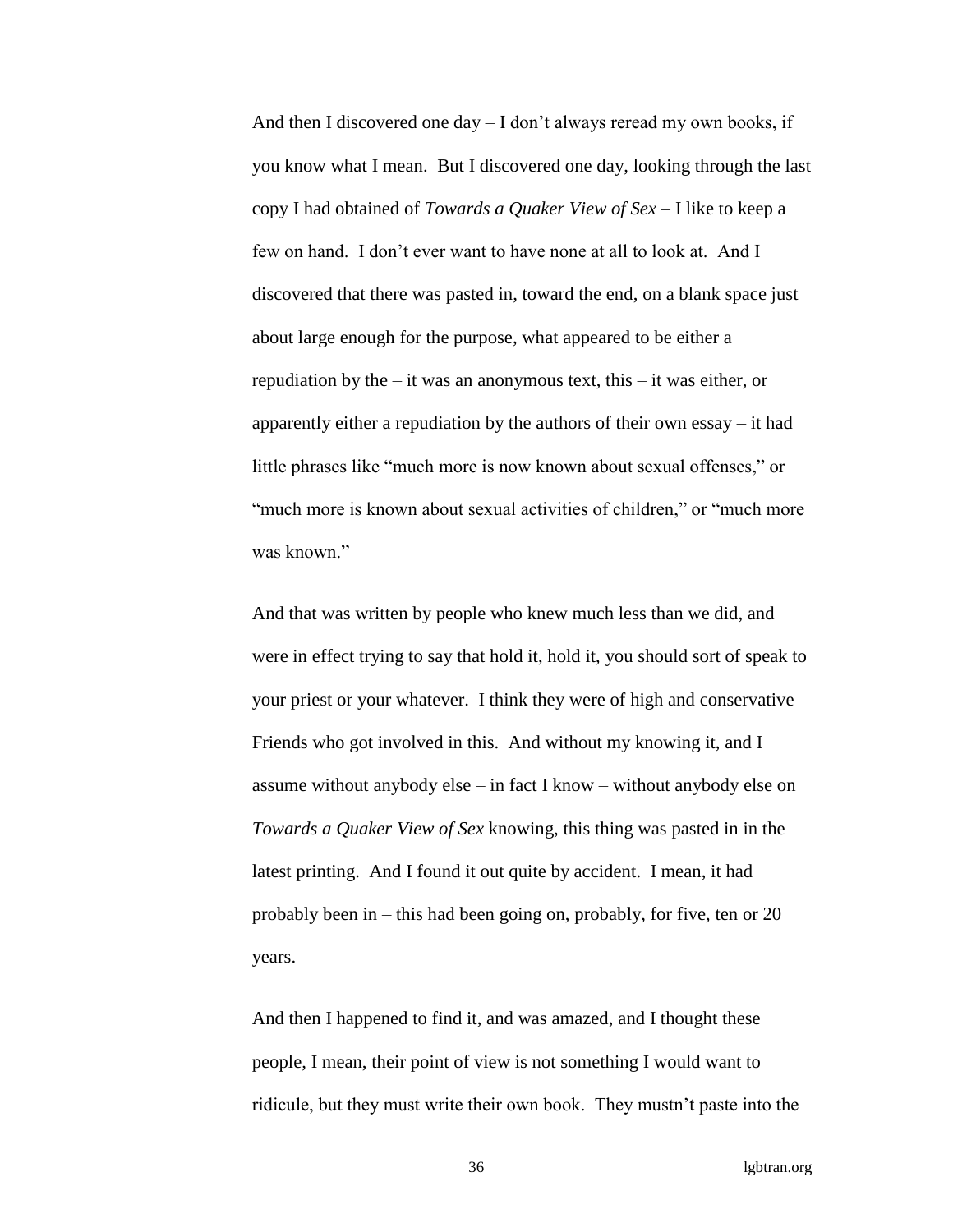And then I discovered one day – I don't always reread my own books, if you know what I mean. But I discovered one day, looking through the last copy I had obtained of *Towards a Quaker View of Sex* – I like to keep a few on hand. I don't ever want to have none at all to look at. And I discovered that there was pasted in, toward the end, on a blank space just about large enough for the purpose, what appeared to be either a repudiation by the  $-$  it was an anonymous text, this  $-$  it was either, or apparently either a repudiation by the authors of their own essay – it had little phrases like "much more is now known about sexual offenses," or "much more is known about sexual activities of children," or "much more was known"

And that was written by people who knew much less than we did, and were in effect trying to say that hold it, hold it, you should sort of speak to your priest or your whatever. I think they were of high and conservative Friends who got involved in this. And without my knowing it, and I assume without anybody else – in fact I know – without anybody else on *Towards a Quaker View of Sex* knowing, this thing was pasted in in the latest printing. And I found it out quite by accident. I mean, it had probably been in – this had been going on, probably, for five, ten or 20 years.

And then I happened to find it, and was amazed, and I thought these people, I mean, their point of view is not something I would want to ridicule, but they must write their own book. They mustn't paste into the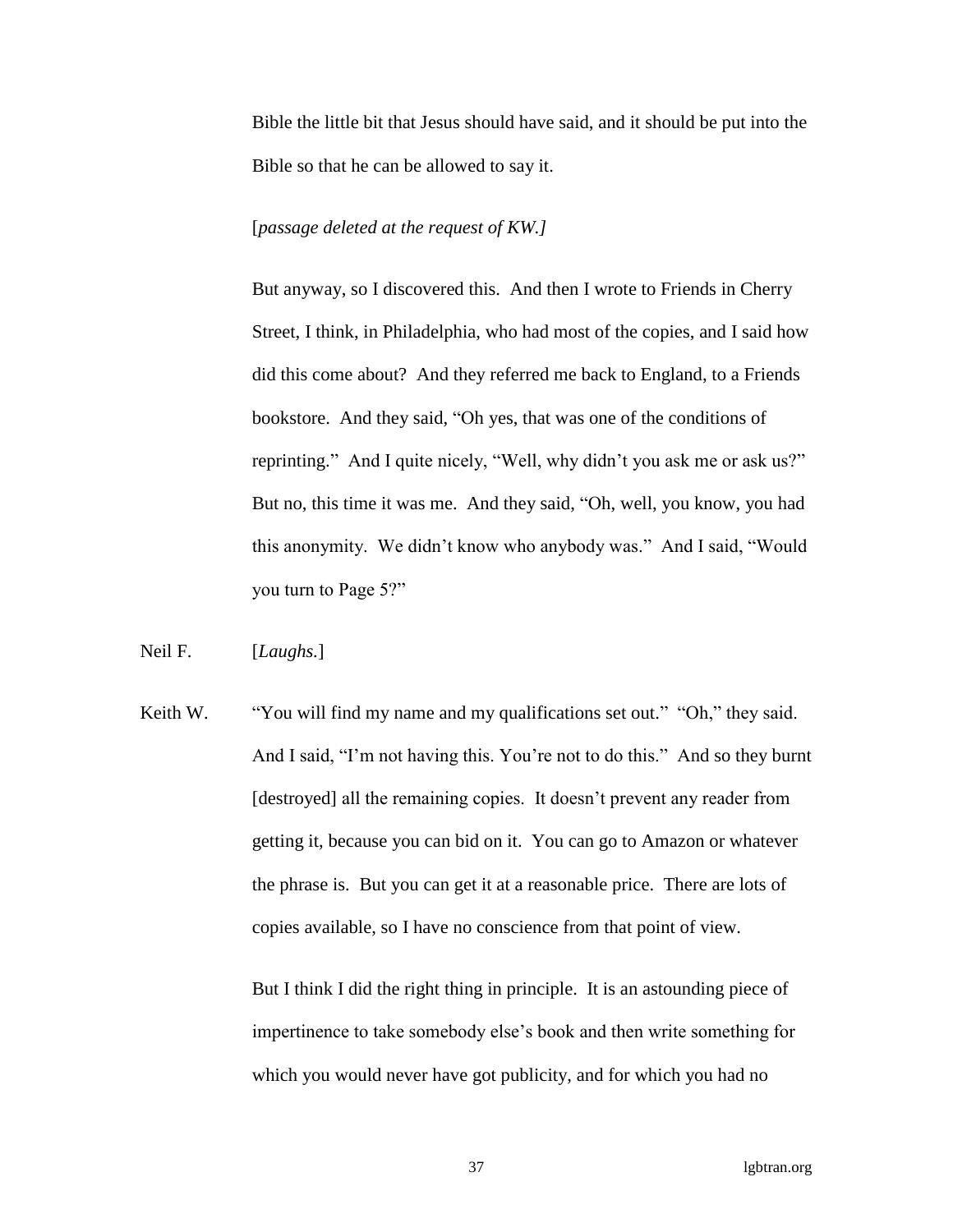Bible the little bit that Jesus should have said, and it should be put into the Bible so that he can be allowed to say it.

### [*passage deleted at the request of KW.]*

But anyway, so I discovered this. And then I wrote to Friends in Cherry Street, I think, in Philadelphia, who had most of the copies, and I said how did this come about? And they referred me back to England, to a Friends bookstore. And they said, "Oh yes, that was one of the conditions of reprinting." And I quite nicely, "Well, why didn't you ask me or ask us?" But no, this time it was me. And they said, "Oh, well, you know, you had this anonymity. We didn't know who anybody was." And I said, "Would you turn to Page 5?"

Neil F. [*Laughs.*]

Keith W. "You will find my name and my qualifications set out." "Oh," they said. And I said, "I'm not having this. You're not to do this." And so they burnt [destroyed] all the remaining copies. It doesn't prevent any reader from getting it, because you can bid on it. You can go to Amazon or whatever the phrase is. But you can get it at a reasonable price. There are lots of copies available, so I have no conscience from that point of view.

> But I think I did the right thing in principle. It is an astounding piece of impertinence to take somebody else's book and then write something for which you would never have got publicity, and for which you had no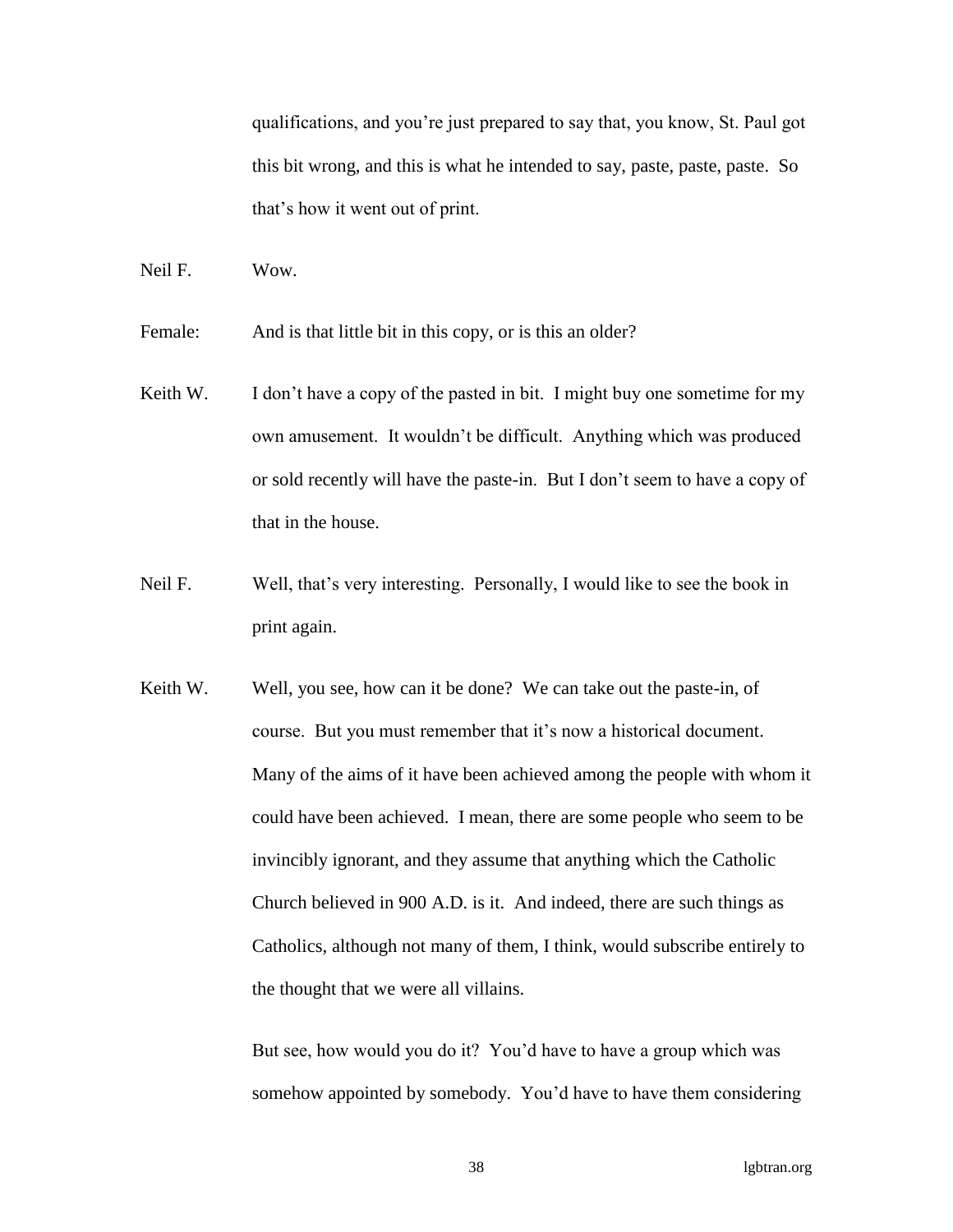qualifications, and you're just prepared to say that, you know, St. Paul got this bit wrong, and this is what he intended to say, paste, paste, paste. So that's how it went out of print.

Neil F. Wow.

Female: And is that little bit in this copy, or is this an older?

- Keith W. I don't have a copy of the pasted in bit. I might buy one sometime for my own amusement. It wouldn't be difficult. Anything which was produced or sold recently will have the paste-in. But I don't seem to have a copy of that in the house.
- Neil F. Well, that's very interesting. Personally, I would like to see the book in print again.
- Keith W. Well, you see, how can it be done? We can take out the paste-in, of course. But you must remember that it's now a historical document. Many of the aims of it have been achieved among the people with whom it could have been achieved. I mean, there are some people who seem to be invincibly ignorant, and they assume that anything which the Catholic Church believed in 900 A.D. is it. And indeed, there are such things as Catholics, although not many of them, I think, would subscribe entirely to the thought that we were all villains.

But see, how would you do it? You'd have to have a group which was somehow appointed by somebody. You'd have to have them considering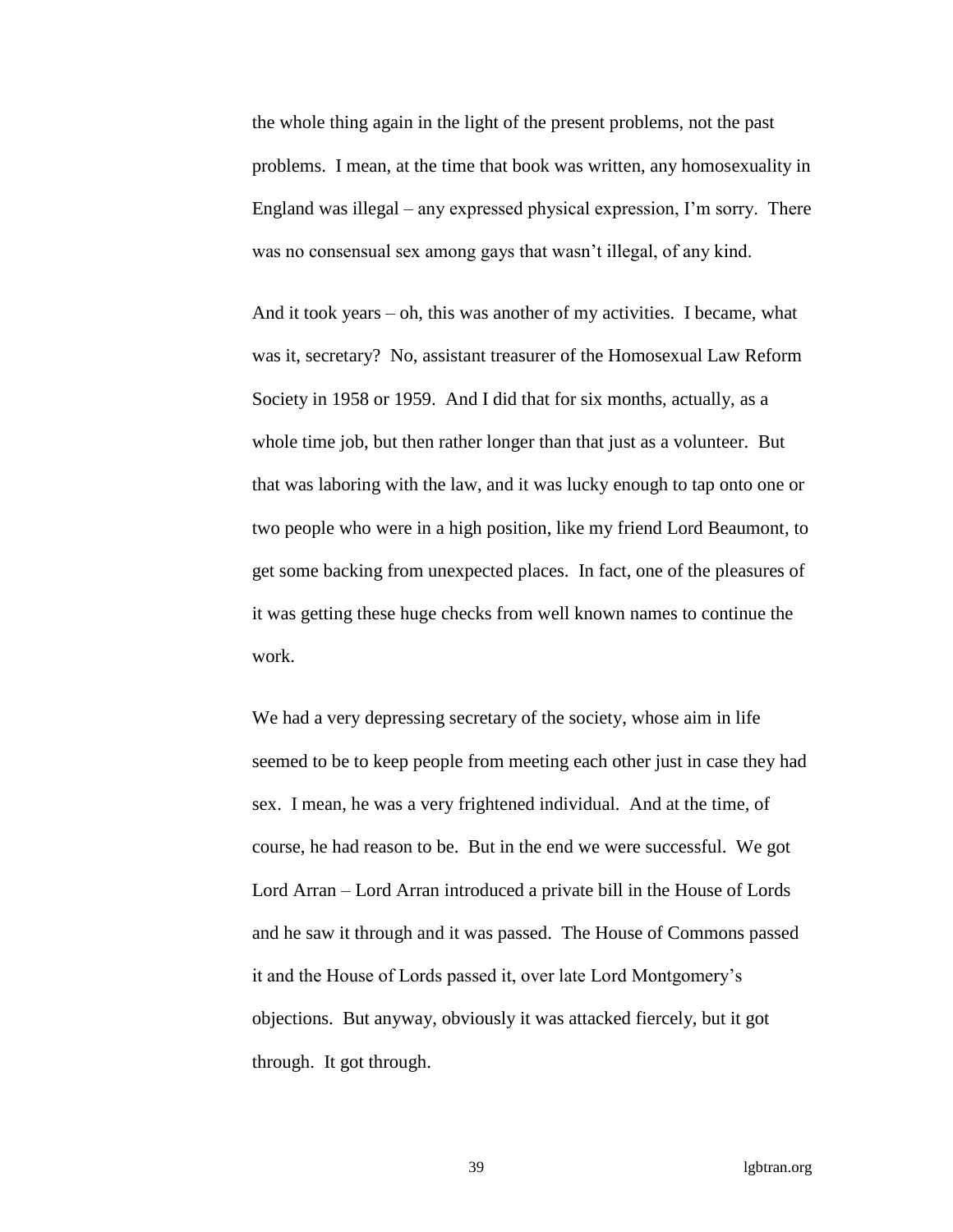the whole thing again in the light of the present problems, not the past problems. I mean, at the time that book was written, any homosexuality in England was illegal – any expressed physical expression, I'm sorry. There was no consensual sex among gays that wasn't illegal, of any kind.

And it took years – oh, this was another of my activities. I became, what was it, secretary? No, assistant treasurer of the Homosexual Law Reform Society in 1958 or 1959. And I did that for six months, actually, as a whole time job, but then rather longer than that just as a volunteer. But that was laboring with the law, and it was lucky enough to tap onto one or two people who were in a high position, like my friend Lord Beaumont, to get some backing from unexpected places. In fact, one of the pleasures of it was getting these huge checks from well known names to continue the work.

We had a very depressing secretary of the society, whose aim in life seemed to be to keep people from meeting each other just in case they had sex. I mean, he was a very frightened individual. And at the time, of course, he had reason to be. But in the end we were successful. We got Lord Arran – Lord Arran introduced a private bill in the House of Lords and he saw it through and it was passed. The House of Commons passed it and the House of Lords passed it, over late Lord Montgomery's objections. But anyway, obviously it was attacked fiercely, but it got through. It got through.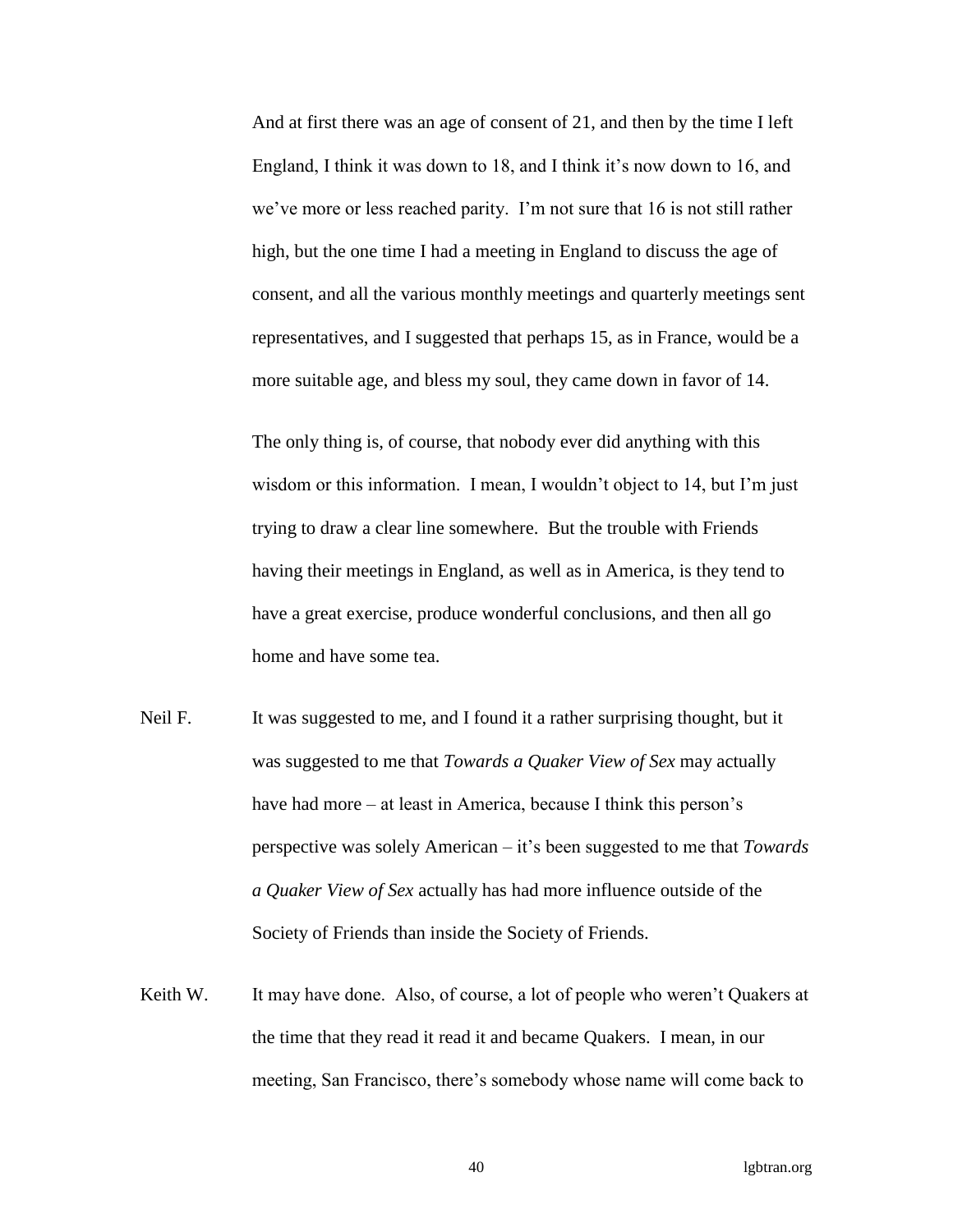And at first there was an age of consent of 21, and then by the time I left England, I think it was down to 18, and I think it's now down to 16, and we've more or less reached parity. I'm not sure that 16 is not still rather high, but the one time I had a meeting in England to discuss the age of consent, and all the various monthly meetings and quarterly meetings sent representatives, and I suggested that perhaps 15, as in France, would be a more suitable age, and bless my soul, they came down in favor of 14.

The only thing is, of course, that nobody ever did anything with this wisdom or this information. I mean, I wouldn't object to 14, but I'm just trying to draw a clear line somewhere. But the trouble with Friends having their meetings in England, as well as in America, is they tend to have a great exercise, produce wonderful conclusions, and then all go home and have some tea.

- Neil F. It was suggested to me, and I found it a rather surprising thought, but it was suggested to me that *Towards a Quaker View of Sex* may actually have had more – at least in America, because I think this person's perspective was solely American – it's been suggested to me that *Towards a Quaker View of Sex* actually has had more influence outside of the Society of Friends than inside the Society of Friends.
- Keith W. It may have done. Also, of course, a lot of people who weren't Quakers at the time that they read it read it and became Quakers. I mean, in our meeting, San Francisco, there's somebody whose name will come back to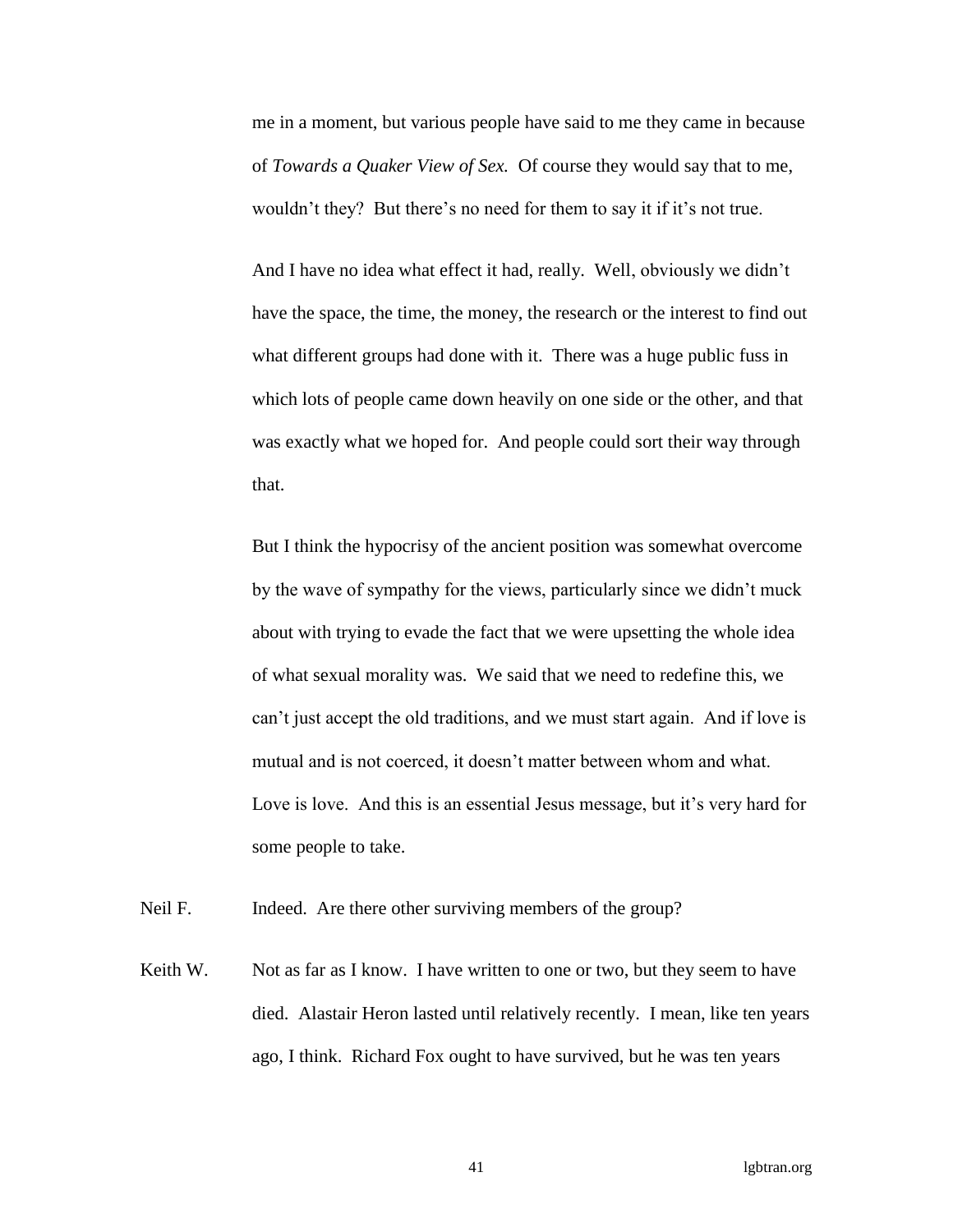me in a moment, but various people have said to me they came in because of *Towards a Quaker View of Sex.* Of course they would say that to me, wouldn't they? But there's no need for them to say it if it's not true.

And I have no idea what effect it had, really. Well, obviously we didn't have the space, the time, the money, the research or the interest to find out what different groups had done with it. There was a huge public fuss in which lots of people came down heavily on one side or the other, and that was exactly what we hoped for. And people could sort their way through that.

But I think the hypocrisy of the ancient position was somewhat overcome by the wave of sympathy for the views, particularly since we didn't muck about with trying to evade the fact that we were upsetting the whole idea of what sexual morality was. We said that we need to redefine this, we can't just accept the old traditions, and we must start again. And if love is mutual and is not coerced, it doesn't matter between whom and what. Love is love. And this is an essential Jesus message, but it's very hard for some people to take.

Neil F. Indeed. Are there other surviving members of the group?

Keith W. Not as far as I know. I have written to one or two, but they seem to have died. Alastair Heron lasted until relatively recently. I mean, like ten years ago, I think. Richard Fox ought to have survived, but he was ten years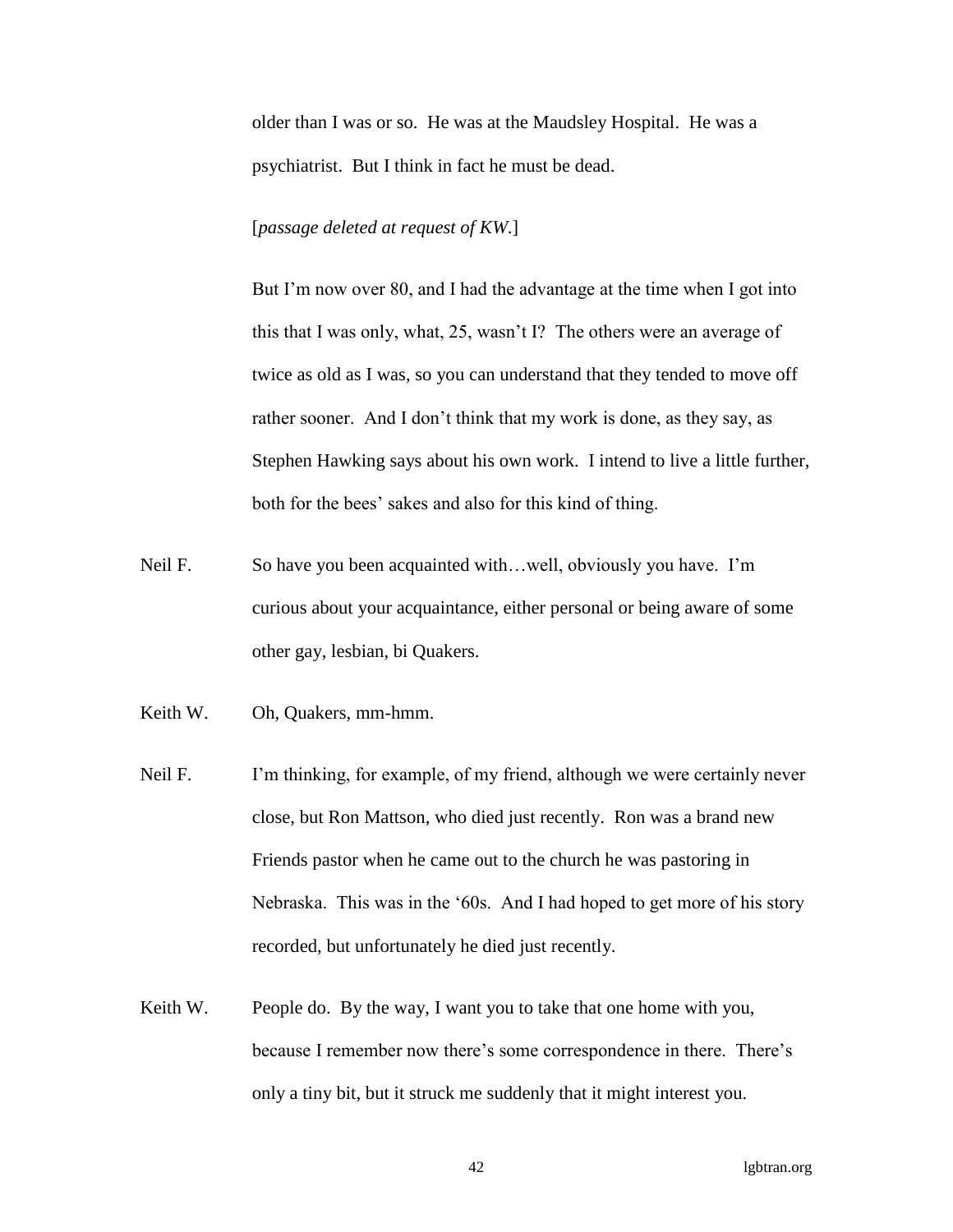older than I was or so. He was at the Maudsley Hospital. He was a psychiatrist. But I think in fact he must be dead.

### [*passage deleted at request of KW*.]

But I'm now over 80, and I had the advantage at the time when I got into this that I was only, what, 25, wasn't I? The others were an average of twice as old as I was, so you can understand that they tended to move off rather sooner. And I don't think that my work is done, as they say, as Stephen Hawking says about his own work. I intend to live a little further, both for the bees' sakes and also for this kind of thing.

- Neil F. So have you been acquainted with...well, obviously you have. I'm curious about your acquaintance, either personal or being aware of some other gay, lesbian, bi Quakers.
- Keith W. Oh, Quakers, mm-hmm.
- Neil F. I'm thinking, for example, of my friend, although we were certainly never close, but Ron Mattson, who died just recently. Ron was a brand new Friends pastor when he came out to the church he was pastoring in Nebraska. This was in the '60s. And I had hoped to get more of his story recorded, but unfortunately he died just recently.
- Keith W. People do. By the way, I want you to take that one home with you, because I remember now there's some correspondence in there. There's only a tiny bit, but it struck me suddenly that it might interest you.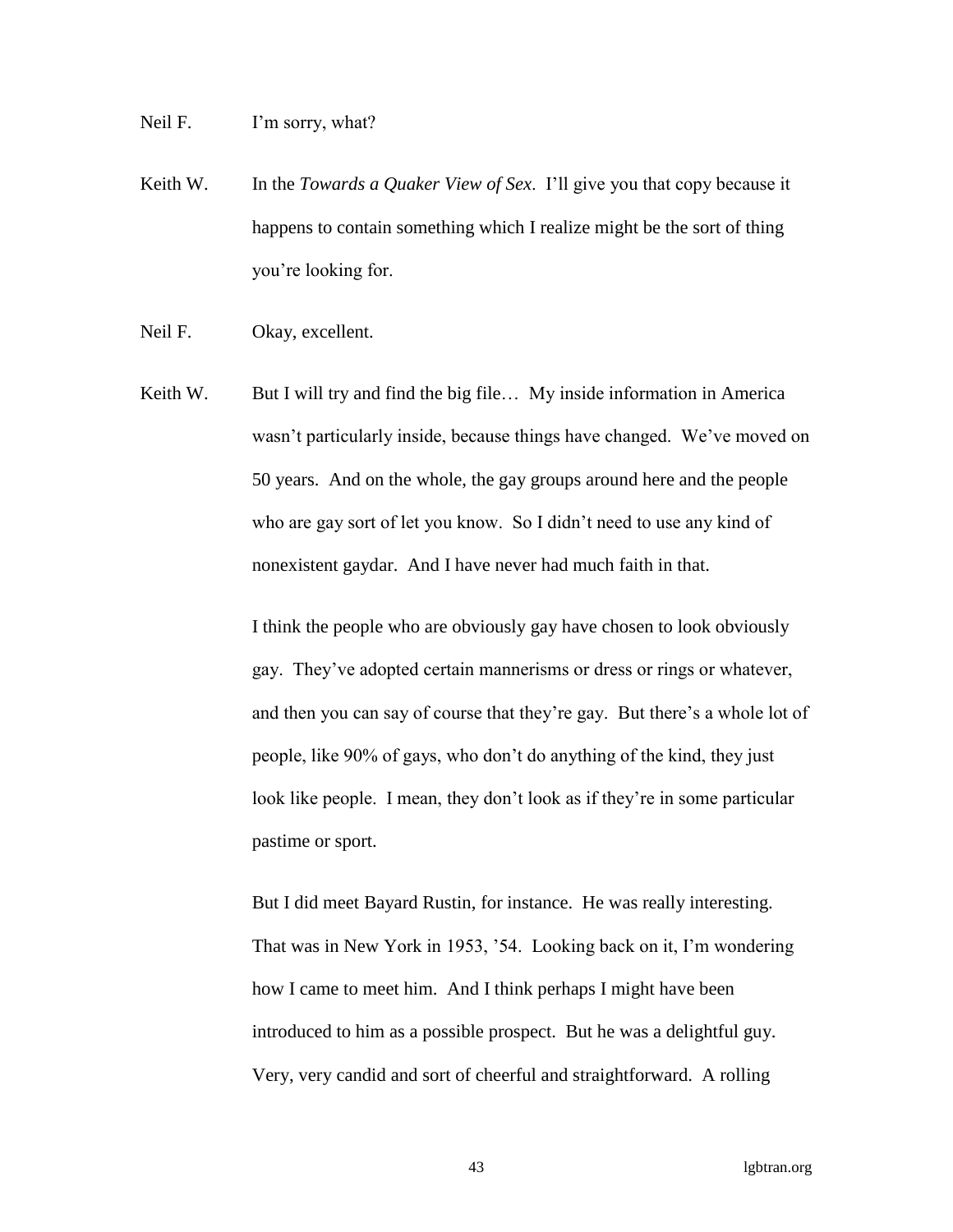Neil F. I'm sorry, what?

Keith W. In the *Towards a Quaker View of Sex*. I'll give you that copy because it happens to contain something which I realize might be the sort of thing you're looking for.

Neil F. Okay, excellent.

Keith W. But I will try and find the big file... My inside information in America wasn't particularly inside, because things have changed. We've moved on 50 years. And on the whole, the gay groups around here and the people who are gay sort of let you know. So I didn't need to use any kind of nonexistent gaydar. And I have never had much faith in that.

> I think the people who are obviously gay have chosen to look obviously gay. They've adopted certain mannerisms or dress or rings or whatever, and then you can say of course that they're gay. But there's a whole lot of people, like 90% of gays, who don't do anything of the kind, they just look like people. I mean, they don't look as if they're in some particular pastime or sport.

But I did meet Bayard Rustin, for instance. He was really interesting. That was in New York in 1953, '54. Looking back on it, I'm wondering how I came to meet him. And I think perhaps I might have been introduced to him as a possible prospect. But he was a delightful guy. Very, very candid and sort of cheerful and straightforward. A rolling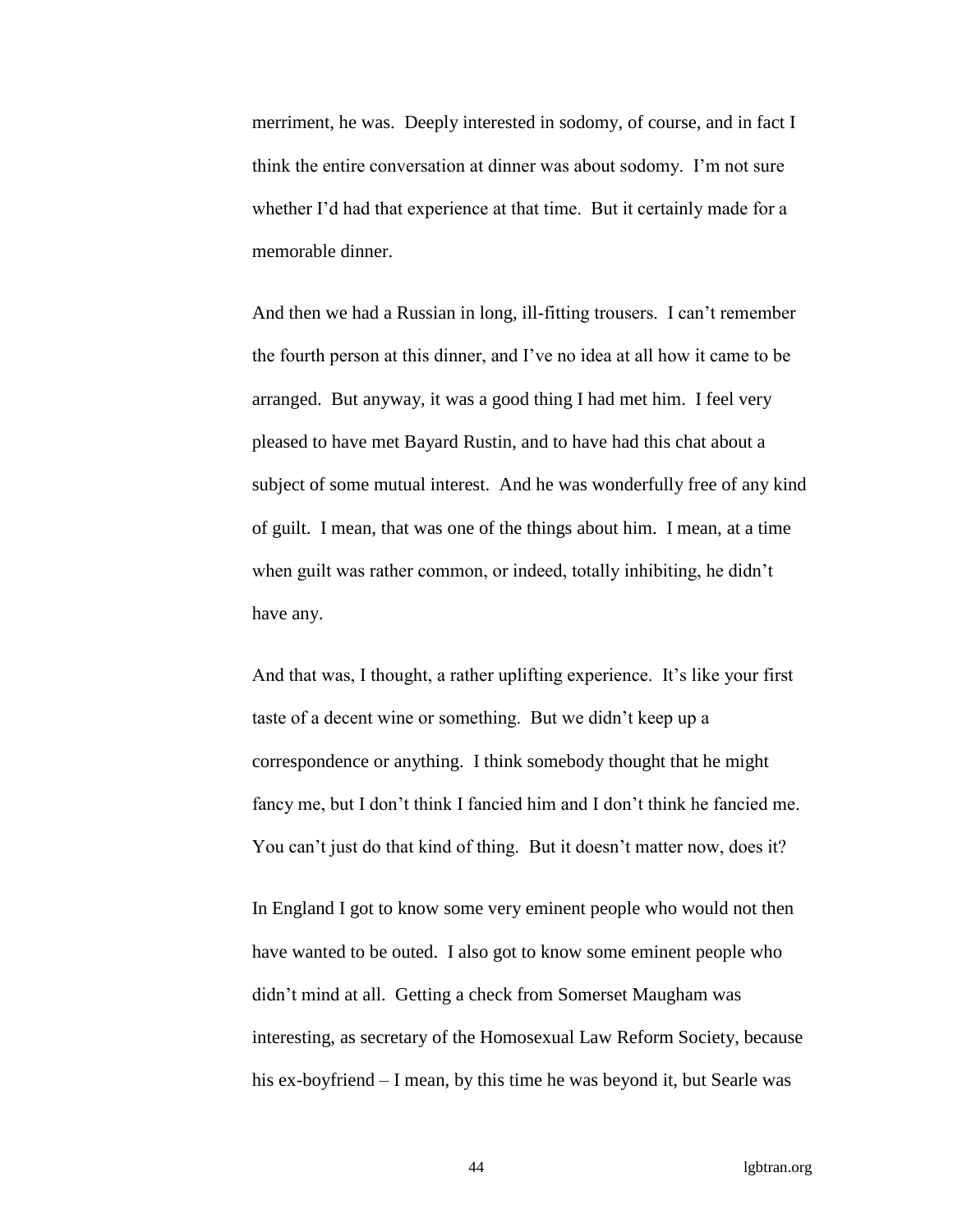merriment, he was. Deeply interested in sodomy, of course, and in fact I think the entire conversation at dinner was about sodomy. I'm not sure whether I'd had that experience at that time. But it certainly made for a memorable dinner.

And then we had a Russian in long, ill-fitting trousers. I can't remember the fourth person at this dinner, and I've no idea at all how it came to be arranged. But anyway, it was a good thing I had met him. I feel very pleased to have met Bayard Rustin, and to have had this chat about a subject of some mutual interest. And he was wonderfully free of any kind of guilt. I mean, that was one of the things about him. I mean, at a time when guilt was rather common, or indeed, totally inhibiting, he didn't have any.

And that was, I thought, a rather uplifting experience. It's like your first taste of a decent wine or something. But we didn't keep up a correspondence or anything. I think somebody thought that he might fancy me, but I don't think I fancied him and I don't think he fancied me. You can't just do that kind of thing. But it doesn't matter now, does it?

In England I got to know some very eminent people who would not then have wanted to be outed. I also got to know some eminent people who didn't mind at all. Getting a check from Somerset Maugham was interesting, as secretary of the Homosexual Law Reform Society, because his ex-boyfriend – I mean, by this time he was beyond it, but Searle was